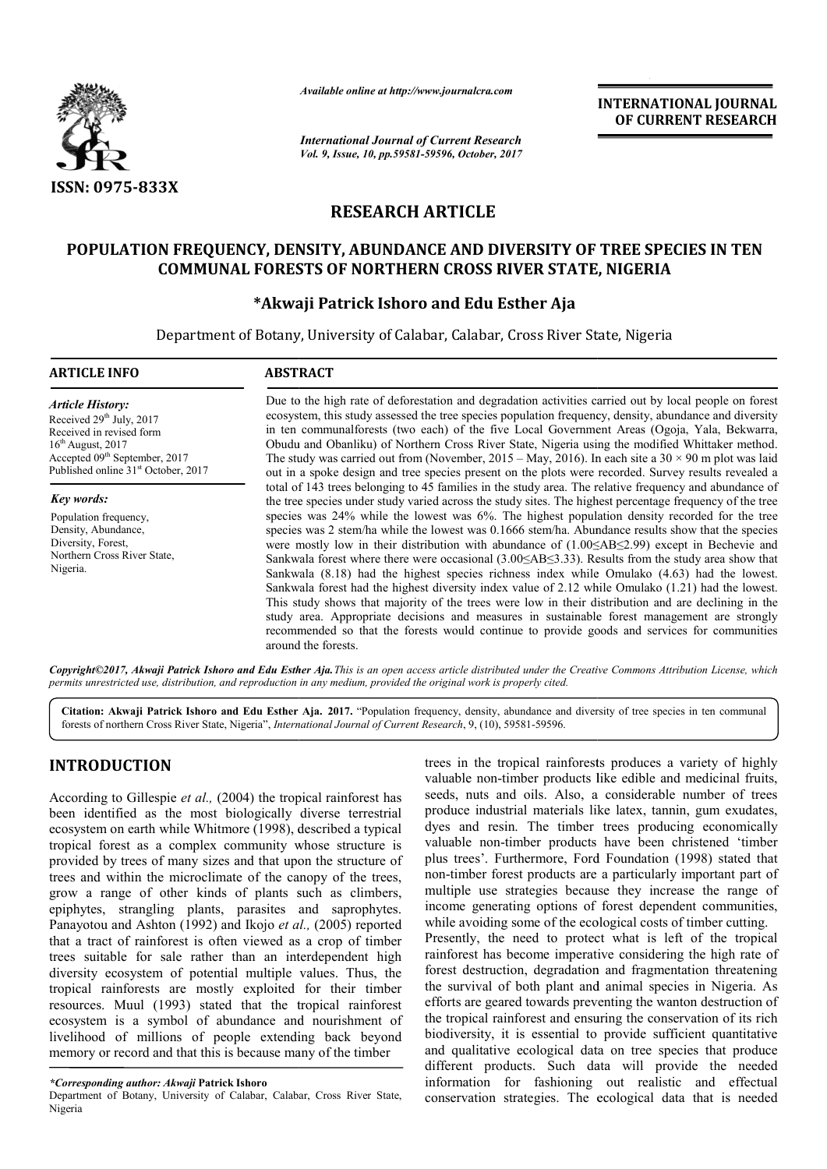

*Available online at http://www.journalcra.com*

*International Journal of Current Research Vol. 9, Issue, 10, pp.59581-59596, October, 2017* **INTERNATIONAL JOURNAL OF CURRENT RESEARCH** 

# **RESEARCH ARTICLE**

# **POPULATION FREQUENCY, DENSITY, ABUNDANCE AND DIVERSITY OF TREE SPECIES IN TEN COMMUNAL FORESTS OF NORTHERN CROSS RIVER STATE, NIGERIA RIVER STATE,**

# **\*Akwaji Patrick Ishoro and Akwaji Edu Esther Aja**

Department of Botany, University of Calabar, Calabar, Cross River State, Nigeria

| <b>ARTICLE INFO</b>                                                                                                                                                                                                | <b>ABSTRACT</b>                                                                                                                                                                                                                                                                                                                                                                                                                                                                                                                                                                                                                                                                                                                                                                                                                                                                                                                                                                                                                                                                                                                                                                             |
|--------------------------------------------------------------------------------------------------------------------------------------------------------------------------------------------------------------------|---------------------------------------------------------------------------------------------------------------------------------------------------------------------------------------------------------------------------------------------------------------------------------------------------------------------------------------------------------------------------------------------------------------------------------------------------------------------------------------------------------------------------------------------------------------------------------------------------------------------------------------------------------------------------------------------------------------------------------------------------------------------------------------------------------------------------------------------------------------------------------------------------------------------------------------------------------------------------------------------------------------------------------------------------------------------------------------------------------------------------------------------------------------------------------------------|
| <b>Article History:</b><br>Received 29 <sup>th</sup> July, 2017<br>Received in revised form<br>$16th$ August, 2017<br>Accepted 09 <sup>th</sup> September, 2017<br>Published online 31 <sup>st</sup> October, 2017 | Due to the high rate of deforestation and degradation activities carried out by local people on forest<br>ecosystem, this study assessed the tree species population frequency, density, abundance and diversity<br>in ten communalforests (two each) of the five Local Government Areas (Ogoja, Yala, Bekwarra,<br>Obudu and Obanliku) of Northern Cross River State, Nigeria using the modified Whittaker method.<br>The study was carried out from (November, 2015 – May, 2016). In each site a $30 \times 90$ m plot was laid<br>out in a spoke design and tree species present on the plots were recorded. Survey results revealed a                                                                                                                                                                                                                                                                                                                                                                                                                                                                                                                                                   |
| Key words:<br>Population frequency,<br>Density, Abundance,<br>Diversity, Forest,<br>Northern Cross River State,<br>Nigeria.                                                                                        | total of 143 trees belonging to 45 families in the study area. The relative frequency and abundance of<br>the tree species under study varied across the study sites. The highest percentage frequency of the tree<br>species was 24% while the lowest was 6%. The highest population density recorded for the tree<br>species was 2 stem/ha while the lowest was 0.1666 stem/ha. Abundance results show that the species<br>were mostly low in their distribution with abundance of $(1.00 \le AB \le 2.99)$ except in Bechevie and<br>Sankwala forest where there were occasional $(3.00 \le AB \le 3.33)$ . Results from the study area show that<br>Sankwala (8.18) had the highest species richness index while Omulako (4.63) had the lowest.<br>Sankwala forest had the highest diversity index value of $2.12$ while Omulako $(1.21)$ had the lowest.<br>This study shows that majority of the trees were low in their distribution and are declining in the<br>study area. Appropriate decisions and measures in sustainable forest management are strongly<br>recommended so that the forests would continue to provide goods and services for communities<br>around the forests. |

Copyright©2017, Akwaji Patrick Ishoro and Edu Esther Aja. This is an open access article distributed under the Creative Commons Attribution License, which *permits unrestricted use, distribution, and reproduction in any medium, provided the original work is properly cited.*

Citation: Akwaji Patrick Ishoro and Edu Esther Aja. 2017. "Population frequency, density, abundance and diversity of tree species in ten communal forests of northern Cross River State, Nigeria", *International Journal of Current Research* , 9, (10), 59581-59596.

# **INTRODUCTION**

According to Gillespie *et al.,* (2004) the tropical rainforest has been identified as the most biologically diverse terrestrial ecosystem on earth while Whitmore (1998), described a typical tropical forest as a complex community whose structure is provided by trees of many sizes and that upon the structure of t trees and within the microclimate of the canopy of the trees, grow a range of other kinds of plants such as climbers, epiphytes, strangling plants, parasites and saprophytes. Panayotou and Ashton (1992) and Ikojo et al., (2005) reported that a tract of rainforest is often viewed as a crop of timber trees suitable for sale rather than an interdependent high diversity ecosystem of potential multiple values. Thus, the tropical rainforests are mostly exploited for their timber resources. Muul (1993) stated that the tropical rainforest ecosystem is a symbol of abundance and nourishment of livelihood of millions of people extending back beyond memory or record and that this is because many of the timber

Department of Botany, University of Calabar, Calabar, Cross River State, Nigeria

trees in the tropical rainforests produces a variety of highly valuable non-timber products like edible and medicinal fruits, seeds, nuts and oils. Also, a considerable number of trees produce industrial materials like latex, tannin, gum exudates, dyes and resin. The timber trees producing economically valuable non-timber products have been christened 'timber dyes and resin. The timber trees producing economically valuable non-timber products have been christened 'timber plus trees'. Furthermore, Ford Foundation (1998) stated that non-timber forest products are a particularly important part of multiple use strategies because they increase the range of income generating options of forest dependent communities, while avoiding some of the ecological costs of timber cutting. Presently, the need to protect what is left of the tropical rainforest has become imperative considering the high rate of forest destruction, degradation and fragmentation threatening the survival of both plant and animal species in Nigeria. As efforts are geared towards preventing the wanton destruction of the tropical rainforest and ensuring the conservation of its rich biodiversity, it is essential to provide sufficient quantitative and qualitative ecological data on tree species that produce different products. Such data will provide the needed information for fashioning out realistic and effectual conservation strategies. The ecological data that is needed in the tropical rainforests produces a variety of highly ble non-timber products like edible and medicinal fruits, nuts and oils. Also, a considerable number of trees Training the range of the range of the range of the range of the range of the range options of *GUAREETY* of **TREE SPECIES IN TEN**<br> **ROG CUARENT RESSARCH**<br> **COLUMBER CONSTRATE, NIGERIA de Education**, Cross River State, Nig

*<sup>\*</sup>Corresponding author: Akwaji* **Patrick Ishoro**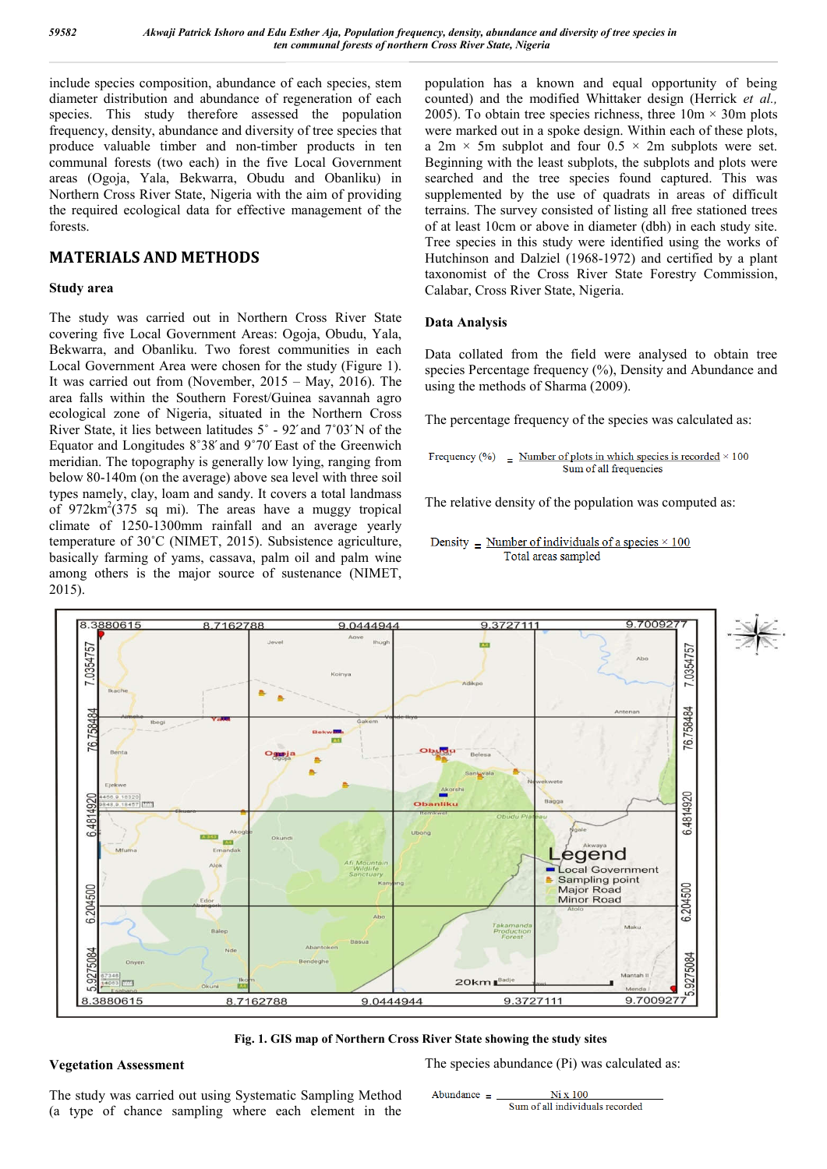include species composition, abundance of each species, stem diameter distribution and abundance of regeneration of each species. This study therefore assessed the population frequency, density, abundance and diversity of tree species that produce valuable timber and non-timber products in ten communal forests (two each) in the five Local Government areas (Ogoja, Yala, Bekwarra, Obudu and Obanliku) in Northern Cross River State, Nigeria with the aim of providing the required ecological data for effective management of the forests.

## **MATERIALS AND METHODS**

## **Study area**

The study was carried out in Northern Cross River State covering five Local Government Areas: Ogoja, Obudu, Yala, Bekwarra, and Obanliku. Two forest communities in each Local Government Area were chosen for the study (Figure 1). It was carried out from (November, 2015 – May, 2016). The area falls within the Southern Forest/Guinea savannah agro ecological zone of Nigeria, situated in the Northern Cross River State, it lies between latitudes 5˚ - 92́ and 7˚03́ N of the Equator and Longitudes 8˚38́ and 9˚70́ East of the Greenwich meridian. The topography is generally low lying, ranging from below 80-140m (on the average) above sea level with three soil types namely, clay, loam and sandy. It covers a total landmass of  $972 \text{km}^2(375 \text{ sq} \text{ mi})$ . The areas have a muggy tropical climate of 1250-1300mm rainfall and an average yearly temperature of 30˚C (NIMET, 2015). Subsistence agriculture, basically farming of yams, cassava, palm oil and palm wine among others is the major source of sustenance (NIMET, 2015).

population has a known and equal opportunity of being counted) and the modified Whittaker design (Herrick *et al.,* 2005). To obtain tree species richness, three  $10m \times 30m$  plots were marked out in a spoke design. Within each of these plots, a  $2m \times 5m$  subplot and four  $0.5 \times 2m$  subplots were set. Beginning with the least subplots, the subplots and plots were searched and the tree species found captured. This was supplemented by the use of quadrats in areas of difficult terrains. The survey consisted of listing all free stationed trees of at least 10cm or above in diameter (dbh) in each study site. Tree species in this study were identified using the works of Hutchinson and Dalziel (1968-1972) and certified by a plant taxonomist of the Cross River State Forestry Commission, Calabar, Cross River State, Nigeria.

## **Data Analysis**

Data collated from the field were analysed to obtain tree species Percentage frequency  $(\%)$ , Density and Abundance and using the methods of Sharma (2009).

The percentage frequency of the species was calculated as:

Frequency (%) = Number of plots in which species is recorded  $\times$  100 Sum of all frequencies

The relative density of the population was computed as:

```
Density = Number of individuals of a species \times 100
   Total areas sampled
```


**Fig. 1. GIS map of Northern Cross River State showing the study sites**

### **Vegetation Assessment**

The species abundance (Pi) was calculated as:

The study was carried out using Systematic Sampling Method (a type of chance sampling where each element in the

$$
A boundedance = \frac{N i x 100}{Sum of all individuals recorded}
$$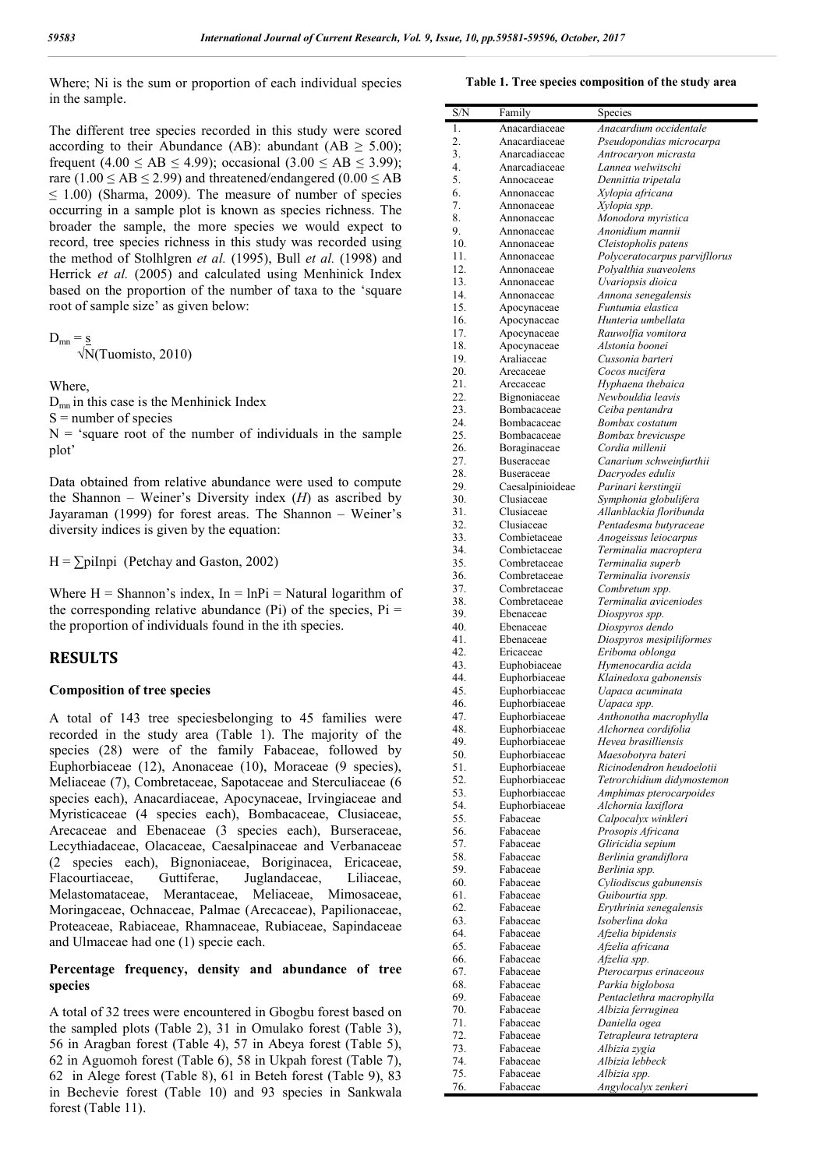Where; Ni is the sum or proportion of each individual species in the sample.

The different tree species recorded in this study were scored according to their Abundance (AB): abundant (AB  $\geq$  5.00); frequent (4.00  $\leq$  AB  $\leq$  4.99); occasional (3.00  $\leq$  AB  $\leq$  3.99); rare  $(1.00 \le AB \le 2.99)$  and threatened/endangered  $(0.00 \le AB)$  $\leq$  1.00) (Sharma, 2009). The measure of number of species occurring in a sample plot is known as species richness. The broader the sample, the more species we would expect to record, tree species richness in this study was recorded using the method of Stolhlgren *et al.* (1995), Bull *et al.* (1998) and Herrick *et al.* (2005) and calculated using Menhinick Index based on the proportion of the number of taxa to the 'square root of sample size' as given below:

$$
D_{mn} = \frac{s}{\sqrt{N(T_{110})}}
$$

$$
\sqrt{\text{N}}(\text{Tuomisto}, 2010)
$$

Where,

 $D<sub>mn</sub>$  in this case is the Menhinick Index  $S =$  number of species  $N =$  'square root of the number of individuals in the sample plot'

Data obtained from relative abundance were used to compute the Shannon – Weiner's Diversity index (*H*) as ascribed by Jayaraman (1999) for forest areas. The Shannon – Weiner's diversity indices is given by the equation:

 $H = \sum \text{pilnpi}$  (Petchay and Gaston, 2002)

Where  $H = Shannon's index$ ,  $In = InPi = Natural logarithm of$ the corresponding relative abundance (Pi) of the species,  $Pi =$ the proportion of individuals found in the ith species.

## **RESULTS**

### **Composition of tree species**

A total of 143 tree speciesbelonging to 45 families were recorded in the study area (Table 1). The majority of the species (28) were of the family Fabaceae, followed by Euphorbiaceae (12), Anonaceae (10), Moraceae (9 species), Meliaceae (7), Combretaceae, Sapotaceae and Sterculiaceae (6 species each), Anacardiaceae, Apocynaceae, Irvingiaceae and Myristicaceae (4 species each), Bombacaceae, Clusiaceae, Arecaceae and Ebenaceae (3 species each), Burseraceae, Lecythiadaceae, Olacaceae, Caesalpinaceae and Verbanaceae (2 species each), Bignoniaceae, Boriginacea, Ericaceae, Flacourtiaceae, Guttiferae, Juglandaceae, Liliaceae, Melastomataceae, Merantaceae, Meliaceae, Mimosaceae, Moringaceae, Ochnaceae, Palmae (Arecaceae), Papilionaceae, Proteaceae, Rabiaceae, Rhamnaceae, Rubiaceae, Sapindaceae and Ulmaceae had one (1) specie each.

## **Percentage frequency, density and abundance of tree species**

A total of 32 trees were encountered in Gbogbu forest based on the sampled plots (Table 2), 31 in Omulako forest (Table 3), 56 in Aragban forest (Table 4), 57 in Abeya forest (Table 5), 62 in Aguomoh forest (Table 6), 58 in Ukpah forest (Table 7), 62 in Alege forest (Table 8), 61 in Beteh forest (Table 9), 83 in Bechevie forest (Table 10) and 93 species in Sankwala forest (Table 11).

#### **Table 1. Tree species composition of the study area**

| S/N                    | Family                         | Species                                                 |
|------------------------|--------------------------------|---------------------------------------------------------|
| 1.                     | Anacardiaceae                  | Anacardium occidentale                                  |
| 2.                     | Anacardiaceae                  | Pseudopondias microcarpa                                |
| 3.                     | Anarcadiaceae                  | Antrocaryon micrasta                                    |
| $\overline{4}$ .<br>5. | Anarcadiaceae<br>Annocaceae    | Lannea welwitschi                                       |
| 6.                     | Annonaceae                     | Dennittia tripetala<br>Xylopia africana                 |
| 7.                     | Annonaceae                     | Xylopia spp.                                            |
| 8.                     | Annonaceae                     | Monodora myristica                                      |
| 9.                     | Annonaceae                     | Anonidium mannii                                        |
| 10.                    | Annonaceae                     | Cleistopholis patens                                    |
| 11.<br>12.             | Annonaceae                     | Polyceratocarpus parvifllorus                           |
| 13.                    | Annonaceae<br>Annonaceae       | Polyalthia suaveolens<br>Uvariopsis dioica              |
| 14.                    | Annonaceae                     | Annona senegalensis                                     |
| 15.                    | Apocynaceae                    | Funtumia elastica                                       |
| 16.                    | Apocynaceae                    | Hunteria umbellata                                      |
| 17.                    | Apocynaceae                    | Rauwolfia vomitora                                      |
| 18.<br>19.             | Apocynaceae<br>Araliaceae      | Alstonia boonei<br>Cussonia barteri                     |
| 20.                    | Arecaceae                      | Cocos nucifera                                          |
| 21.                    | Arecaceae                      | Hyphaena thebaica                                       |
| 22.                    | Bignoniaceae                   | Newbouldia leavis                                       |
| 23.                    | Bombacaceae                    | Ceiba pentandra                                         |
| 24.                    | Bombacaceae                    | Bombax costatum                                         |
| 25.<br>26.             | Bombacaceae<br>Boraginaceae    | Bombax brevicuspe<br>Cordia millenii                    |
| 27.                    | Buseraceae                     | Canarium schweinfurthii                                 |
| 28.                    | Buseraceae                     | Dacryodes edulis                                        |
| 29.                    | Caesalpinioideae               | Parinari kerstingii                                     |
| 30.                    | Clusiaceae                     | Symphonia globulifera                                   |
| 31.<br>32.             | Clusiaceae<br>Clusiaceae       | Allanblackia floribunda                                 |
| 33.                    | Combietaceae                   | Pentadesma butyraceae<br>Anogeissus leiocarpus          |
| 34.                    | Combietaceae                   | Terminalia macroptera                                   |
| 35.                    | Combretaceae                   | Terminalia superb                                       |
| 36.                    | Combretaceae                   | Terminalia ivorensis                                    |
| 37.                    | Combretaceae                   | Combretum spp.                                          |
| 38.<br>39.             | Combretaceae<br>Ebenaceae      | Terminalia aviceniodes<br>Diospyros spp.                |
| 40.                    | Ebenaceae                      | Diospyros dendo                                         |
| 41.                    | Ebenaceae                      | Diospyros mesipiliformes                                |
| 42.                    | Ericaceae                      | Eriboma oblonga                                         |
| 43.                    | Euphobiaceae                   | Hymenocardia acida                                      |
| 44.<br>45.             | Euphorbiaceae                  | Klainedoxa gabonensis<br>Uapaca acuminata               |
| 46.                    | Euphorbiaceae<br>Euphorbiaceae | Uapaca spp.                                             |
| 47.                    | Euphorbiaceae                  | Anthonotha macrophylla                                  |
| 48.                    | Euphorbiaceae                  | Alchornea cordifolia                                    |
| 49.                    | Euphorbiaceae                  | Hevea brasilliensis                                     |
| 50.                    | Euphorbiaceae                  | Maesobotyra bateri                                      |
| 51.<br>52.             | Euphorbiaceae<br>Euphorbiaceae | Ricinodendron heudoelotii<br>Tetrorchidium didymostemon |
| 53.                    | Euphorbiaceae                  | Amphimas pterocarpoides                                 |
| 54.                    | Euphorbiaceae                  | Alchornia laxiflora                                     |
| 55.                    | Fabaceae                       | Calpocalyx winkleri                                     |
| 56.                    | Fabaceae                       | Prosopis Africana                                       |
| 57.<br>58.             | Fabaceae<br>Fabaceae           | Gliricidia sepium                                       |
| 59.                    | Fabaceae                       | Berlinia grandiflora<br>Berlinia spp.                   |
| 60.                    | Fabaceae                       | Cyliodiscus gabunensis                                  |
| 61.                    | Fabaceae                       | Guibourtia spp.                                         |
| 62.                    | Fabaceae                       | Erythrinia senegalensis                                 |
| 63.                    | Fabaceae                       | Isoberlina doka                                         |
| 64.<br>65.             | Fabaceae<br>Fabaceae           | Afzelia bipidensis<br>Afzelia africana                  |
| 66.                    | Fabaceae                       | Afzelia spp.                                            |
| 67.                    | Fabaceae                       | Pterocarpus erinaceous                                  |
| 68.                    | Fabaceae                       | Parkia biglobosa                                        |
| 69.                    | Fabaceae                       | Pentaclethra macrophylla                                |
| 70.                    | Fabaceae                       | Albizia ferruginea                                      |
| 71.<br>72.             | Fabaceae<br>Fabaceae           | Daniella ogea<br>Tetrapleura tetraptera                 |
| 73.                    | Fabaceae                       | Albizia zygia                                           |
| 74.                    | Fabaceae                       | Albizia lebbeck                                         |
| 75.                    | Fabaceae                       | Albizia spp.                                            |
| 76.                    | Fabaceae                       | Angylocalyx zenkeri                                     |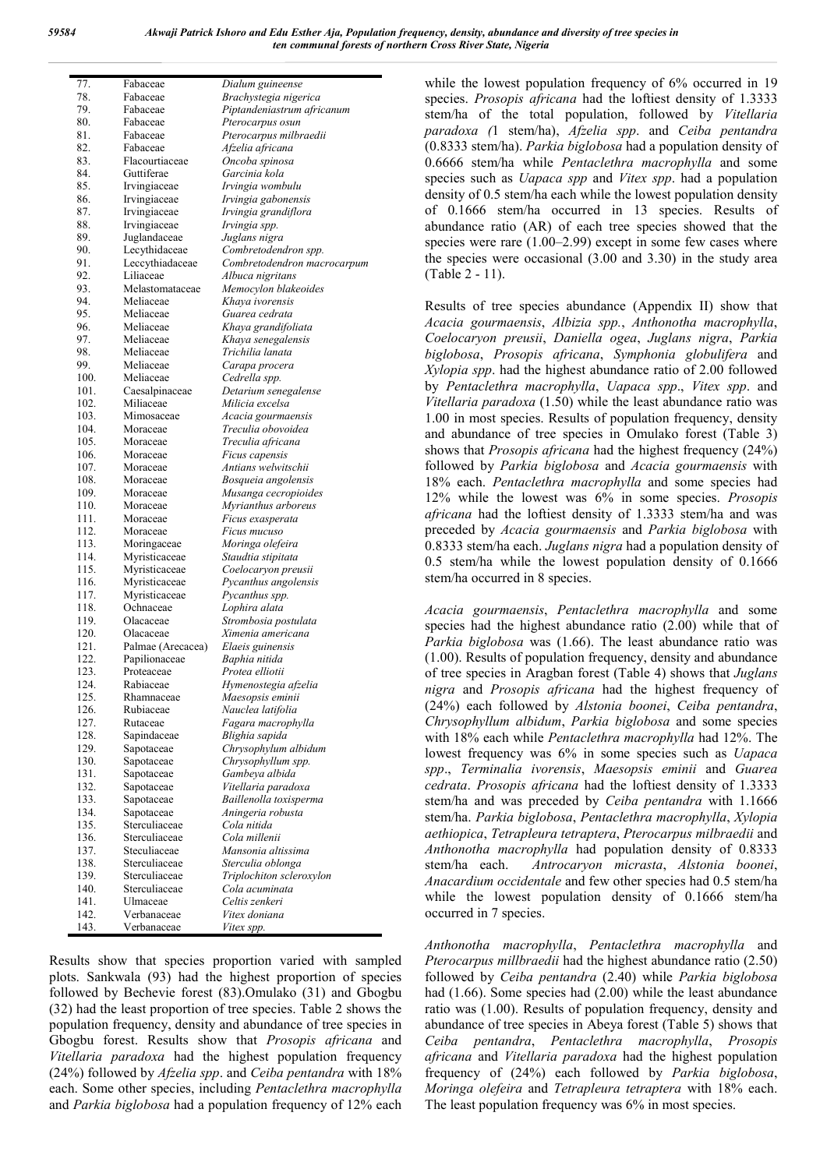| 77.  | Fabaceae          | Dialum guineense            |
|------|-------------------|-----------------------------|
| 78.  | Fabaceae          | Brachystegia nigerica       |
| 79.  | Fabaceae          | Piptandeniastrum africanum  |
| 80.  | Fabaceae          | Pterocarpus osun            |
| 81.  |                   |                             |
|      | Fabaceae          | Pterocarpus milbraedii      |
| 82.  | Fabaceae          | Afzelia africana            |
| 83.  | Flacourtiaceae    | Oncoba spinosa              |
| 84.  | Guttiferae        | Garcinia kola               |
| 85.  | Irvingiaceae      | Irvingia wombulu            |
| 86.  | Irvingiaceae      | Irvingia gabonensis         |
| 87.  | Irvingiaceae      | Irvingia grandiflora        |
| 88.  | Irvingiaceae      | Irvingia spp.               |
|      |                   |                             |
| 89.  | Juglandaceae      | Juglans nigra               |
| 90.  | Lecythidaceae     | Combretodendron spp.        |
| 91.  | Leccythiadaceae   | Combretodendron macrocarpum |
| 92.  | Liliaceae         | Albuca nigritans            |
| 93.  | Melastomataceae   | Memocylon blakeoides        |
| 94.  | Meliaceae         | Khaya ivorensis             |
| 95.  | Meliaceae         | Guarea cedrata              |
| 96.  | Meliaceae         | Khaya grandifoliata         |
|      |                   |                             |
| 97.  | Meliaceae         | Khaya senegalensis          |
| 98.  | Meliaceae         | Trichilia lanata            |
| 99.  | Meliaceae         | Carapa procera              |
| 100. | Meliaceae         | Cedrella spp.               |
| 101. | Caesalpinaceae    | Detarium senegalense        |
| 102. | Miliaceae         | Milicia excelsa             |
| 103. | Mimosaceae        | Acacia gourmaensis          |
| 104. | Moraceae          | Treculia obovoidea          |
|      |                   |                             |
| 105. | Moraceae          | Treculia africana           |
| 106. | Moraceae          | Ficus capensis              |
| 107. | Moraceae          | Antians welwitschii         |
| 108. | Moraceae          | Bosqueia angolensis         |
| 109. | Moraceae          | Musanga cecropioides        |
| 110. | Moraceae          | Myrianthus arboreus         |
| 111. | Moraceae          | Ficus exasperata            |
| 112. | Moraceae          | Ficus mucuso                |
|      |                   |                             |
| 113. | Moringaceae       | Moringa olefeira            |
| 114. | Myristicaceae     | Staudtia stipitata          |
| 115. | Myristicaceae     | Coelocaryon preusii         |
| 116. | Myristicaceae     | Pycanthus angolensis        |
| 117. | Myristicaceae     | Pycanthus spp.              |
| 118. | Ochnaceae         | Lophira alata               |
| 119. | Olacaceae         | Strombosia postulata        |
| 120. | Olacaceae         | Ximenia americana           |
| 121. |                   |                             |
|      | Palmae (Arecacea) | Elaeis guinensis            |
| 122. | Papilionaceae     | Baphia nitida               |
| 123. | Proteaceae        | Protea elliotii             |
| 124. | Rabiaceae         | Hymenostegia afzelia        |
| 125. | Rhamnaceae        | Maesopsis eminii            |
| 126. | Rubiaceae         | Nauclea latifolia           |
| 127. | Rutaceae          | Fagara macrophylla          |
| 128. | Sapindaceae       | Blighia sapida              |
| 129. | Sapotaceae        | Chrysophylum albidum        |
| 130. |                   | Chrysophyllum spp.          |
|      | Sapotaceae        |                             |
| 131. | Sapotaceae        | Gambeya albida              |
| 132. | Sapotaceae        | Vitellaria paradoxa         |
| 133. | Sapotaceae        | Baillenolla toxisperma      |
| 134. | Sapotaceae        | Aningeria robusta           |
| 135. | Sterculiaceae     | Cola nitida                 |
| 136. | Sterculiaceae     | Cola millenii               |
| 137. | Steculiaceae      | Mansonia altissima          |
| 138. |                   |                             |
|      | Sterculiaceae     | Sterculia oblonga           |
| 139. | Sterculiaceae     | Triplochiton scleroxylon    |
| 140. | Sterculiaceae     | Cola acuminata              |
| 141. | Ulmaceae          | Celtis zenkeri              |
| 142. | Verbanaceae       | Vitex doniana               |
| 143. | Verbanaceae       | Vitex spp.                  |

Results show that species proportion varied with sampled plots. Sankwala (93) had the highest proportion of species followed by Bechevie forest (83).Omulako (31) and Gbogbu (32) had the least proportion of tree species. Table 2 shows the population frequency, density and abundance of tree species in Gbogbu forest. Results show that *Prosopis africana* and *Vitellaria paradoxa* had the highest population frequency (24%) followed by *Afzelia spp*. and *Ceiba pentandra* with 18% each. Some other species, including *Pentaclethra macrophylla* and *Parkia biglobosa* had a population frequency of 12% each

while the lowest population frequency of 6% occurred in 19 species. *Prosopis africana* had the loftiest density of 1.3333 stem/ha of the total population, followed by *Vitellaria paradoxa (*1 stem/ha), *Afzelia spp*. and *Ceiba pentandra*  (0.8333 stem/ha). *Parkia biglobosa* had a population density of 0.6666 stem/ha while *Pentaclethra macrophylla* and some species such as *Uapaca spp* and *Vitex spp*. had a population density of 0.5 stem/ha each while the lowest population density of 0.1666 stem/ha occurred in 13 species. Results of abundance ratio (AR) of each tree species showed that the species were rare  $(1.00-2.99)$  except in some few cases where the species were occasional (3.00 and 3.30) in the study area (Table 2 - 11).

Results of tree species abundance (Appendix II) show that *Acacia gourmaensis*, *Albizia spp.*, *Anthonotha macrophylla*, *Coelocaryon preusii*, *Daniella ogea*, *Juglans nigra*, *Parkia biglobosa*, *Prosopis africana*, *Symphonia globulifera* and *Xylopia spp*. had the highest abundance ratio of 2.00 followed by *Pentaclethra macrophylla*, *Uapaca spp*., *Vitex spp*. and *Vitellaria paradoxa* (1.50) while the least abundance ratio was 1.00 in most species. Results of population frequency, density and abundance of tree species in Omulako forest (Table 3) shows that *Prosopis africana* had the highest frequency (24%) followed by *Parkia biglobosa* and *Acacia gourmaensis* with 18% each. *Pentaclethra macrophylla* and some species had 12% while the lowest was 6% in some species. *Prosopis africana* had the loftiest density of 1.3333 stem/ha and was preceded by *Acacia gourmaensis* and *Parkia biglobosa* with 0.8333 stem/ha each. *Juglans nigra* had a population density of 0.5 stem/ha while the lowest population density of 0.1666 stem/ha occurred in 8 species.

*Acacia gourmaensis*, *Pentaclethra macrophylla* and some species had the highest abundance ratio (2.00) while that of *Parkia biglobosa* was (1.66). The least abundance ratio was (1.00). Results of population frequency, density and abundance of tree species in Aragban forest (Table 4) shows that *Juglans nigra* and *Prosopis africana* had the highest frequency of (24%) each followed by *Alstonia boonei*, *Ceiba pentandra*, *Chrysophyllum albidum*, *Parkia biglobosa* and some species with 18% each while *Pentaclethra macrophylla* had 12%. The lowest frequency was 6% in some species such as *Uapaca spp*., *Terminalia ivorensis*, *Maesopsis eminii* and *Guarea cedrata*. *Prosopis africana* had the loftiest density of 1.3333 stem/ha and was preceded by *Ceiba pentandra* with 1.1666 stem/ha. *Parkia biglobosa*, *Pentaclethra macrophylla*, *Xylopia aethiopica*, *Tetrapleura tetraptera*, *Pterocarpus milbraedii* and *Anthonotha macrophylla* had population density of 0.8333 stem/ha each. *Antrocaryon micrasta*, *Alstonia boonei*, *Anacardium occidentale* and few other species had 0.5 stem/ha while the lowest population density of 0.1666 stem/ha occurred in 7 species.

*Anthonotha macrophylla*, *Pentaclethra macrophylla* and *Pterocarpus millbraedii* had the highest abundance ratio (2.50) followed by *Ceiba pentandra* (2.40) while *Parkia biglobosa* had (1.66). Some species had (2.00) while the least abundance ratio was (1.00). Results of population frequency, density and abundance of tree species in Abeya forest (Table 5) shows that *Ceiba pentandra*, *Pentaclethra macrophylla*, *Prosopis africana* and *Vitellaria paradoxa* had the highest population frequency of (24%) each followed by *Parkia biglobosa*, *Moringa olefeira* and *Tetrapleura tetraptera* with 18% each. The least population frequency was 6% in most species.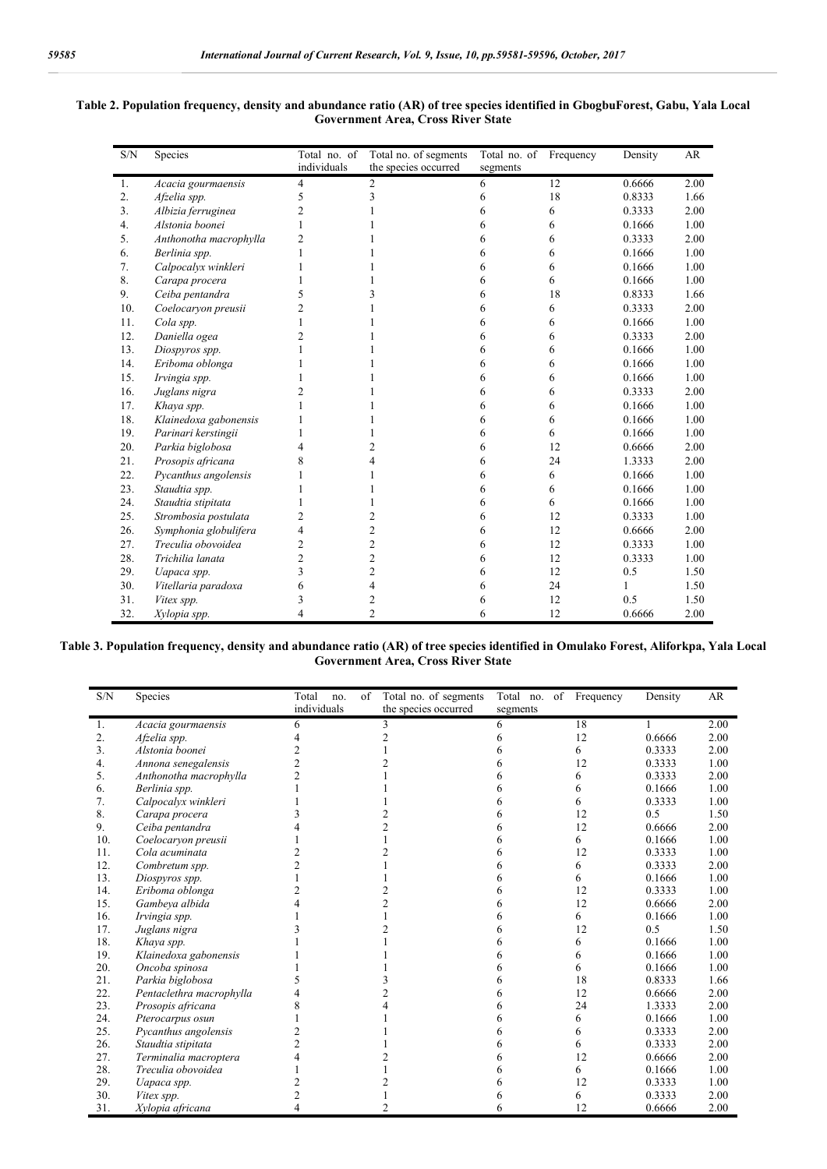|--|--|

| S/N | Species                | Total no. of | Total no. of segments | Total no. of Frequency |    | Density | AR   |
|-----|------------------------|--------------|-----------------------|------------------------|----|---------|------|
|     |                        | individuals  | the species occurred  | segments               |    |         |      |
| 1.  | Acacia gourmaensis     | 4            | 2                     | 6                      | 12 | 0.6666  | 2.00 |
| 2.  | Afzelia spp.           | 5            | 3                     | 6                      | 18 | 0.8333  | 1.66 |
| 3.  | Albizia ferruginea     | 2            |                       | 6                      | 6  | 0.3333  | 2.00 |
| 4.  | Alstonia boonei        |              |                       | 6                      | 6  | 0.1666  | 1.00 |
| 5.  | Anthonotha macrophylla | 2            |                       | 6                      | 6  | 0.3333  | 2.00 |
| 6.  | Berlinia spp.          |              |                       | 6                      | 6  | 0.1666  | 1.00 |
| 7.  | Calpocalyx winkleri    |              |                       | 6                      | 6  | 0.1666  | 1.00 |
| 8.  | Carapa procera         |              |                       | 6                      | 6  | 0.1666  | 1.00 |
| 9.  | Ceiba pentandra        | 5            | 3                     | 6                      | 18 | 0.8333  | 1.66 |
| 10. | Coelocaryon preusii    | 2            |                       | 6                      | 6  | 0.3333  | 2.00 |
| 11. | Cola spp.              |              |                       | 6                      | 6  | 0.1666  | 1.00 |
| 12. | Daniella ogea          | 2            |                       | 6                      | 6  | 0.3333  | 2.00 |
| 13. | Diospyros spp.         |              |                       | 6                      | 6  | 0.1666  | 1.00 |
| 14. | Eriboma oblonga        |              |                       | 6                      | 6  | 0.1666  | 1.00 |
| 15. | Irvingia spp.          |              |                       | 6                      | 6  | 0.1666  | 1.00 |
| 16. | Juglans nigra          |              |                       | 6                      | 6  | 0.3333  | 2.00 |
| 17. | Khaya spp.             |              |                       | 6                      | 6  | 0.1666  | 1.00 |
| 18. | Klainedoxa gabonensis  |              |                       | 6                      | 6  | 0.1666  | 1.00 |
| 19. | Parinari kerstingii    |              |                       | 6                      | 6  | 0.1666  | 1.00 |
| 20. | Parkia biglobosa       | 4            | $\overline{c}$        | 6                      | 12 | 0.6666  | 2.00 |
| 21. | Prosopis africana      |              | 4                     | 6                      | 24 | 1.3333  | 2.00 |
| 22. | Pycanthus angolensis   |              |                       | 6                      | 6  | 0.1666  | 1.00 |
| 23. | Staudtia spp.          |              |                       | 6                      | 6  | 0.1666  | 1.00 |
| 24. | Staudtia stipitata     |              |                       | 6                      | 6  | 0.1666  | 1.00 |
| 25. | Strombosia postulata   | 2            | 2                     | 6                      | 12 | 0.3333  | 1.00 |
| 26. | Symphonia globulifera  | 4            | $\overline{2}$        | 6                      | 12 | 0.6666  | 2.00 |
| 27. | Treculia obovoidea     | 2            | $\overline{c}$        | 6                      | 12 | 0.3333  | 1.00 |
| 28. | Trichilia lanata       | 2            | $\overline{c}$        | 6                      | 12 | 0.3333  | 1.00 |
| 29. | Uapaca spp.            | 3            | $\overline{c}$        | 6                      | 12 | 0.5     | 1.50 |
| 30. | Vitellaria paradoxa    | 6            | 4                     | 6                      | 24 | 1       | 1.50 |
| 31. | Vitex spp.             | 3            | 2                     | 6                      | 12 | 0.5     | 1.50 |
| 32. | Xylopia spp.           | 4            | $\overline{2}$        | 6                      | 12 | 0.6666  | 2.00 |

#### **Table 2. Population frequency, density and abundance ratio (AR) of tree species identified in GbogbuForest, Gabu, Yala Local Government Area, Cross River State**

#### **Table 3. Population frequency, density and abundance ratio (AR) of tree species identified in Omulako Forest, Aliforkpa, Yala Local Government Area, Cross River State**

| individuals<br>the species occurred<br>segments<br>18<br>2.00<br>Acacia gourmaensis<br>6<br>1.<br>3<br>6<br>2.<br>12<br>0.6666<br>2.00<br>Afzelia spp.<br>h<br>3.<br>0.3333<br>2.00<br>Alstonia boonei<br>6<br>12<br>1.00<br>4.<br>0.3333<br>Annona senegalensis<br>0.3333<br>2.00<br>5.<br>Anthonotha macrophylla<br>6<br>0.1666<br>1.00<br>6.<br>Berlinia spp.<br>6<br>7.<br>0.3333<br>1.00<br>Calpocalyx winkleri<br>6<br>8.<br>0.5<br>12<br>1.50<br>Carapa procera<br>9.<br>12<br>0.6666<br>2.00<br>Ceiba pentandra<br>10.<br>0.1666<br>1.00<br>6<br>Coelocaryon preusii<br>1.00<br>11.<br>12<br>0.3333<br>Cola acuminata<br>12.<br>2.00<br>Combretum spp.<br>0.3333<br>6<br>13.<br>1.00<br>0.1666<br>Diospyros spp.<br>6<br>14.<br>12<br>0.3333<br>1.00<br>Eriboma oblonga<br>15.<br>12<br>0.6666<br>2.00<br>Gambeya albida<br>16.<br>0.1666<br>1.00<br>Irvingia spp.<br>6<br>17.<br>12<br>0.5<br>1.50<br>Juglans nigra<br>18.<br>1.00<br>0.1666<br>Khaya spp.<br>6<br>19.<br>0.1666<br>1.00<br>Klainedoxa gabonensis<br>6<br>20.<br>1.00<br>0.1666<br>Oncoba spinosa<br>6<br>21.<br>18<br>Parkia biglobosa<br>0.8333<br>1.66<br>22.<br>12<br>2.00<br>Pentaclethra macrophylla<br>2<br>0.6666<br>23.<br>1.3333<br>2.00<br>Prosopis africana<br>24<br>24.<br>0.1666<br>1.00<br>Pterocarpus osun<br>6<br>25.<br>0.3333<br>2.00<br>Pycanthus angolensis<br>6<br>26.<br>2.00<br>0.3333<br>Staudtia stipitata<br>2<br>6<br>27.<br>Terminalia macroptera<br>12<br>0.6666<br>2.00<br>4<br>28.<br>Treculia obovoidea<br>0.1666<br>1.00<br>6<br>29.<br>12<br>1.00<br>0.3333<br>Uapaca spp.<br>30.<br>0.3333<br>2.00<br>2<br>6<br>Vitex spp. | S/N | Species          | Total<br>no. | of | Total no. of segments | Total no.<br>of | Frequency | Density | AR   |
|-----------------------------------------------------------------------------------------------------------------------------------------------------------------------------------------------------------------------------------------------------------------------------------------------------------------------------------------------------------------------------------------------------------------------------------------------------------------------------------------------------------------------------------------------------------------------------------------------------------------------------------------------------------------------------------------------------------------------------------------------------------------------------------------------------------------------------------------------------------------------------------------------------------------------------------------------------------------------------------------------------------------------------------------------------------------------------------------------------------------------------------------------------------------------------------------------------------------------------------------------------------------------------------------------------------------------------------------------------------------------------------------------------------------------------------------------------------------------------------------------------------------------------------------------------------------------------------------------------------------------------------------|-----|------------------|--------------|----|-----------------------|-----------------|-----------|---------|------|
|                                                                                                                                                                                                                                                                                                                                                                                                                                                                                                                                                                                                                                                                                                                                                                                                                                                                                                                                                                                                                                                                                                                                                                                                                                                                                                                                                                                                                                                                                                                                                                                                                                         |     |                  |              |    |                       |                 |           |         |      |
|                                                                                                                                                                                                                                                                                                                                                                                                                                                                                                                                                                                                                                                                                                                                                                                                                                                                                                                                                                                                                                                                                                                                                                                                                                                                                                                                                                                                                                                                                                                                                                                                                                         |     |                  |              |    |                       |                 |           |         |      |
|                                                                                                                                                                                                                                                                                                                                                                                                                                                                                                                                                                                                                                                                                                                                                                                                                                                                                                                                                                                                                                                                                                                                                                                                                                                                                                                                                                                                                                                                                                                                                                                                                                         |     |                  |              |    |                       |                 |           |         |      |
|                                                                                                                                                                                                                                                                                                                                                                                                                                                                                                                                                                                                                                                                                                                                                                                                                                                                                                                                                                                                                                                                                                                                                                                                                                                                                                                                                                                                                                                                                                                                                                                                                                         |     |                  |              |    |                       |                 |           |         |      |
|                                                                                                                                                                                                                                                                                                                                                                                                                                                                                                                                                                                                                                                                                                                                                                                                                                                                                                                                                                                                                                                                                                                                                                                                                                                                                                                                                                                                                                                                                                                                                                                                                                         |     |                  |              |    |                       |                 |           |         |      |
|                                                                                                                                                                                                                                                                                                                                                                                                                                                                                                                                                                                                                                                                                                                                                                                                                                                                                                                                                                                                                                                                                                                                                                                                                                                                                                                                                                                                                                                                                                                                                                                                                                         |     |                  |              |    |                       |                 |           |         |      |
|                                                                                                                                                                                                                                                                                                                                                                                                                                                                                                                                                                                                                                                                                                                                                                                                                                                                                                                                                                                                                                                                                                                                                                                                                                                                                                                                                                                                                                                                                                                                                                                                                                         |     |                  |              |    |                       |                 |           |         |      |
|                                                                                                                                                                                                                                                                                                                                                                                                                                                                                                                                                                                                                                                                                                                                                                                                                                                                                                                                                                                                                                                                                                                                                                                                                                                                                                                                                                                                                                                                                                                                                                                                                                         |     |                  |              |    |                       |                 |           |         |      |
|                                                                                                                                                                                                                                                                                                                                                                                                                                                                                                                                                                                                                                                                                                                                                                                                                                                                                                                                                                                                                                                                                                                                                                                                                                                                                                                                                                                                                                                                                                                                                                                                                                         |     |                  |              |    |                       |                 |           |         |      |
|                                                                                                                                                                                                                                                                                                                                                                                                                                                                                                                                                                                                                                                                                                                                                                                                                                                                                                                                                                                                                                                                                                                                                                                                                                                                                                                                                                                                                                                                                                                                                                                                                                         |     |                  |              |    |                       |                 |           |         |      |
|                                                                                                                                                                                                                                                                                                                                                                                                                                                                                                                                                                                                                                                                                                                                                                                                                                                                                                                                                                                                                                                                                                                                                                                                                                                                                                                                                                                                                                                                                                                                                                                                                                         |     |                  |              |    |                       |                 |           |         |      |
|                                                                                                                                                                                                                                                                                                                                                                                                                                                                                                                                                                                                                                                                                                                                                                                                                                                                                                                                                                                                                                                                                                                                                                                                                                                                                                                                                                                                                                                                                                                                                                                                                                         |     |                  |              |    |                       |                 |           |         |      |
|                                                                                                                                                                                                                                                                                                                                                                                                                                                                                                                                                                                                                                                                                                                                                                                                                                                                                                                                                                                                                                                                                                                                                                                                                                                                                                                                                                                                                                                                                                                                                                                                                                         |     |                  |              |    |                       |                 |           |         |      |
|                                                                                                                                                                                                                                                                                                                                                                                                                                                                                                                                                                                                                                                                                                                                                                                                                                                                                                                                                                                                                                                                                                                                                                                                                                                                                                                                                                                                                                                                                                                                                                                                                                         |     |                  |              |    |                       |                 |           |         |      |
|                                                                                                                                                                                                                                                                                                                                                                                                                                                                                                                                                                                                                                                                                                                                                                                                                                                                                                                                                                                                                                                                                                                                                                                                                                                                                                                                                                                                                                                                                                                                                                                                                                         |     |                  |              |    |                       |                 |           |         |      |
|                                                                                                                                                                                                                                                                                                                                                                                                                                                                                                                                                                                                                                                                                                                                                                                                                                                                                                                                                                                                                                                                                                                                                                                                                                                                                                                                                                                                                                                                                                                                                                                                                                         |     |                  |              |    |                       |                 |           |         |      |
|                                                                                                                                                                                                                                                                                                                                                                                                                                                                                                                                                                                                                                                                                                                                                                                                                                                                                                                                                                                                                                                                                                                                                                                                                                                                                                                                                                                                                                                                                                                                                                                                                                         |     |                  |              |    |                       |                 |           |         |      |
|                                                                                                                                                                                                                                                                                                                                                                                                                                                                                                                                                                                                                                                                                                                                                                                                                                                                                                                                                                                                                                                                                                                                                                                                                                                                                                                                                                                                                                                                                                                                                                                                                                         |     |                  |              |    |                       |                 |           |         |      |
|                                                                                                                                                                                                                                                                                                                                                                                                                                                                                                                                                                                                                                                                                                                                                                                                                                                                                                                                                                                                                                                                                                                                                                                                                                                                                                                                                                                                                                                                                                                                                                                                                                         |     |                  |              |    |                       |                 |           |         |      |
|                                                                                                                                                                                                                                                                                                                                                                                                                                                                                                                                                                                                                                                                                                                                                                                                                                                                                                                                                                                                                                                                                                                                                                                                                                                                                                                                                                                                                                                                                                                                                                                                                                         |     |                  |              |    |                       |                 |           |         |      |
|                                                                                                                                                                                                                                                                                                                                                                                                                                                                                                                                                                                                                                                                                                                                                                                                                                                                                                                                                                                                                                                                                                                                                                                                                                                                                                                                                                                                                                                                                                                                                                                                                                         |     |                  |              |    |                       |                 |           |         |      |
|                                                                                                                                                                                                                                                                                                                                                                                                                                                                                                                                                                                                                                                                                                                                                                                                                                                                                                                                                                                                                                                                                                                                                                                                                                                                                                                                                                                                                                                                                                                                                                                                                                         |     |                  |              |    |                       |                 |           |         |      |
|                                                                                                                                                                                                                                                                                                                                                                                                                                                                                                                                                                                                                                                                                                                                                                                                                                                                                                                                                                                                                                                                                                                                                                                                                                                                                                                                                                                                                                                                                                                                                                                                                                         |     |                  |              |    |                       |                 |           |         |      |
|                                                                                                                                                                                                                                                                                                                                                                                                                                                                                                                                                                                                                                                                                                                                                                                                                                                                                                                                                                                                                                                                                                                                                                                                                                                                                                                                                                                                                                                                                                                                                                                                                                         |     |                  |              |    |                       |                 |           |         |      |
|                                                                                                                                                                                                                                                                                                                                                                                                                                                                                                                                                                                                                                                                                                                                                                                                                                                                                                                                                                                                                                                                                                                                                                                                                                                                                                                                                                                                                                                                                                                                                                                                                                         |     |                  |              |    |                       |                 |           |         |      |
|                                                                                                                                                                                                                                                                                                                                                                                                                                                                                                                                                                                                                                                                                                                                                                                                                                                                                                                                                                                                                                                                                                                                                                                                                                                                                                                                                                                                                                                                                                                                                                                                                                         |     |                  |              |    |                       |                 |           |         |      |
|                                                                                                                                                                                                                                                                                                                                                                                                                                                                                                                                                                                                                                                                                                                                                                                                                                                                                                                                                                                                                                                                                                                                                                                                                                                                                                                                                                                                                                                                                                                                                                                                                                         |     |                  |              |    |                       |                 |           |         |      |
|                                                                                                                                                                                                                                                                                                                                                                                                                                                                                                                                                                                                                                                                                                                                                                                                                                                                                                                                                                                                                                                                                                                                                                                                                                                                                                                                                                                                                                                                                                                                                                                                                                         |     |                  |              |    |                       |                 |           |         |      |
|                                                                                                                                                                                                                                                                                                                                                                                                                                                                                                                                                                                                                                                                                                                                                                                                                                                                                                                                                                                                                                                                                                                                                                                                                                                                                                                                                                                                                                                                                                                                                                                                                                         |     |                  |              |    |                       |                 |           |         |      |
|                                                                                                                                                                                                                                                                                                                                                                                                                                                                                                                                                                                                                                                                                                                                                                                                                                                                                                                                                                                                                                                                                                                                                                                                                                                                                                                                                                                                                                                                                                                                                                                                                                         |     |                  |              |    |                       |                 |           |         |      |
|                                                                                                                                                                                                                                                                                                                                                                                                                                                                                                                                                                                                                                                                                                                                                                                                                                                                                                                                                                                                                                                                                                                                                                                                                                                                                                                                                                                                                                                                                                                                                                                                                                         |     |                  |              |    |                       |                 |           |         |      |
|                                                                                                                                                                                                                                                                                                                                                                                                                                                                                                                                                                                                                                                                                                                                                                                                                                                                                                                                                                                                                                                                                                                                                                                                                                                                                                                                                                                                                                                                                                                                                                                                                                         | 31. | Xylopia africana | 4            |    |                       |                 | 12        | 0.6666  | 2.00 |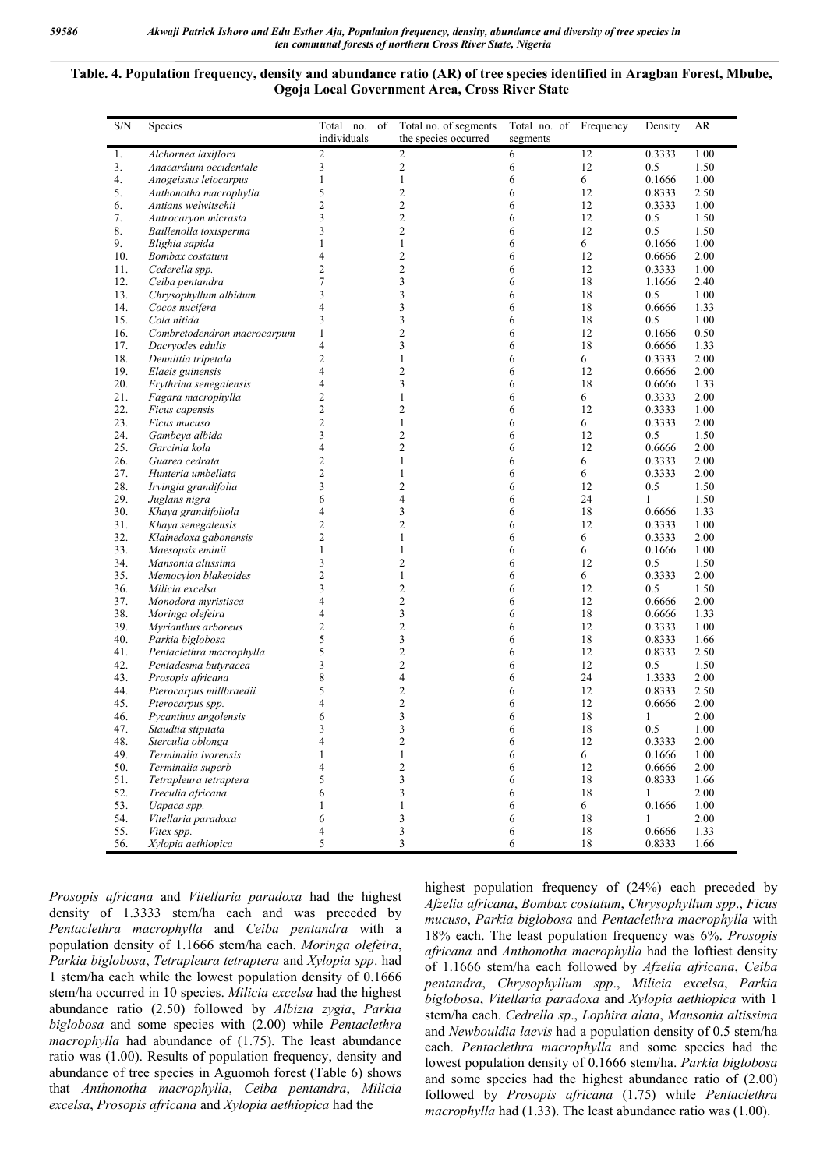## **Table. 4. Population frequency, density and abundance ratio (AR) of tree species identified in Aragban Forest, Mbube, Ogoja Local Government Area, Cross River State**

| S/N      | Species                                  | Total no. of            | Total no. of segments                              | Total no. of Frequency |          | Density       | AR           |
|----------|------------------------------------------|-------------------------|----------------------------------------------------|------------------------|----------|---------------|--------------|
|          |                                          | individuals             | the species occurred                               | segments               |          |               |              |
| 1.       | Alchornea laxiflora                      | $\overline{c}$          | $\overline{2}$                                     | 6                      | 12       | 0.3333        | 1.00         |
| 3.       | Anacardium occidentale                   | 3                       | 2                                                  | 6                      | 12       | 0.5           | 1.50         |
| 4.       | Anogeissus leiocarpus                    | 1                       | $\mathbf{1}$                                       | 6                      | 6        | 0.1666        | 1.00         |
| 5.       | Anthonotha macrophylla                   | 5                       | 2                                                  | 6                      | 12       | 0.8333        | 2.50         |
| 6.<br>7. | Antians welwitschii                      | 2<br>3                  | $\overline{\mathbf{c}}$<br>$\overline{\mathbf{c}}$ | 6<br>6                 | 12<br>12 | 0.3333<br>0.5 | 1.00<br>1.50 |
| 8.       | Antrocaryon micrasta                     | 3                       | $\overline{c}$                                     | 6                      | 12       | 0.5           | 1.50         |
| 9.       | Baillenolla toxisperma<br>Blighia sapida | 1                       | 1                                                  | 6                      | 6        | 0.1666        | 1.00         |
| 10.      | Bombax costatum                          | 4                       | 2                                                  | 6                      | 12       | 0.6666        | 2.00         |
| 11.      | Cederella spp.                           | $\overline{c}$          | $\overline{c}$                                     | 6                      | 12       | 0.3333        | 1.00         |
| 12.      | Ceiba pentandra                          | 7                       | 3                                                  | 6                      | 18       | 1.1666        | 2.40         |
| 13.      | Chrysophyllum albidum                    | 3                       | 3                                                  | 6                      | 18       | 0.5           | 1.00         |
| 14.      | Cocos nucifera                           | 4                       | 3                                                  | 6                      | 18       | 0.6666        | 1.33         |
| 15.      | Cola nitida                              | 3                       | 3                                                  | 6                      | 18       | 0.5           | 1.00         |
| 16.      | Combretodendron macrocarpum              | $\mathbf{1}$            | $\overline{\mathbf{c}}$                            | 6                      | 12       | 0.1666        | 0.50         |
| 17.      | Dacryodes edulis                         | 4                       | 3                                                  | 6                      | 18       | 0.6666        | 1.33         |
| 18.      | Dennittia tripetala                      | 2                       | $\mathbf{1}$                                       | 6                      | 6        | 0.3333        | 2.00         |
| 19.      | Elaeis guinensis                         | 4                       | 2                                                  | 6                      | 12       | 0.6666        | 2.00         |
| 20.      | Erythrina senegalensis                   | 4                       | 3                                                  | 6                      | 18       | 0.6666        | 1.33         |
| 21.      | Fagara macrophylla                       | 2                       | $\mathbf{1}$                                       | 6                      | 6        | 0.3333        | 2.00         |
| 22.      | Ficus capensis                           | $\overline{c}$          | 2                                                  | 6                      | 12       | 0.3333        | 1.00         |
| 23.      | Ficus mucuso                             | $\overline{c}$          | $\mathbf{1}$                                       | 6                      | 6        | 0.3333        | 2.00         |
| 24.      | Gambeya albida                           | 3                       | 2                                                  | 6                      | 12       | 0.5           | 1.50         |
| 25.      | Garcinia kola                            | 4                       | $\overline{c}$                                     | 6                      | 12       | 0.6666        | 2.00         |
| 26.      | Guarea cedrata                           | 2                       | 1                                                  | 6                      | 6        | 0.3333        | 2.00         |
| 27.      | Hunteria umbellata                       | $\overline{\mathbf{c}}$ | $\mathbf{1}$                                       | 6                      | 6        | 0.3333        | 2.00         |
| 28.      | Irvingia grandifolia                     | 3                       | $\overline{c}$                                     | 6                      | 12       | 0.5           | 1.50         |
| 29.      | Juglans nigra                            | 6                       | 4                                                  | 6                      | 24       | 1             | 1.50         |
| 30.      | Khaya grandifoliola                      | 4                       | 3                                                  | 6                      | 18       | 0.6666        | 1.33         |
| 31.      | Khaya senegalensis                       | 2                       | $\overline{c}$                                     | 6                      | 12       | 0.3333        | 1.00         |
| 32.      | Klainedoxa gabonensis                    | 2                       | 1                                                  | 6                      | 6        | 0.3333        | 2.00         |
| 33.      | Maesopsis eminii                         | 1                       | 1                                                  | 6                      | 6        | 0.1666        | 1.00         |
| 34.      | Mansonia altissima                       | 3                       | 2                                                  | 6                      | 12       | 0.5           | 1.50         |
| 35.      | Memocylon blakeoides                     | 2                       | $\mathbf{1}$                                       | 6                      | 6        | 0.3333        | 2.00         |
| 36.      | Milicia excelsa                          | 3                       | 2                                                  | 6                      | 12       | 0.5           | 1.50         |
| 37.      | Monodora myristisca                      | 4                       | $\overline{c}$                                     | 6                      | 12       | 0.6666        | 2.00         |
| 38.      | Moringa olefeira                         | 4                       | 3                                                  | 6                      | 18       | 0.6666        | 1.33         |
| 39.      | Myrianthus arboreus                      | 2                       | $\overline{\mathbf{c}}$                            | 6                      | 12       | 0.3333        | 1.00         |
| 40.      | Parkia biglobosa                         | 5                       | 3                                                  | 6                      | 18       | 0.8333        | 1.66         |
| 41.      | Pentaclethra macrophylla                 | 5                       | $\overline{\mathbf{c}}$                            | 6                      | 12       | 0.8333        | 2.50         |
| 42.      | Pentadesma butyracea                     | 3                       | $\overline{\mathbf{c}}$                            | 6                      | 12       | 0.5           | 1.50         |
| 43.      | Prosopis africana                        | 8                       | 4                                                  | 6                      | 24       | 1.3333        | 2.00         |
| 44.      | Pterocarpus millbraedii                  | 5                       | 2                                                  | 6                      | 12       | 0.8333        | 2.50         |
| 45.      | Pterocarpus spp.                         | 4                       | $\overline{\mathbf{c}}$                            | 6                      | 12       | 0.6666        | 2.00         |
| 46.      | Pycanthus angolensis                     | 6                       | 3                                                  | 6                      | 18       | 1             | 2.00         |
| 47.      | Staudtia stipitata                       | 3                       | 3                                                  | 6                      | 18       | 0.5           | 1.00         |
| 48.      | Sterculia oblonga                        | 4                       | 2                                                  | 6                      | 12       | 0.3333        | 2.00         |
| 49.      | Terminalia ivorensis                     | 1                       | $\mathbf{1}$                                       | 6                      | 6        | 0.1666        | 1.00         |
| 50.      | Terminalia superb                        | 4                       | $\overline{c}$                                     | 6                      | 12       | 0.6666        | 2.00         |
| 51.      | Tetrapleura tetraptera                   | 5                       | 3                                                  | 6                      | 18       | 0.8333        | 1.66         |
| 52.      | Treculia africana                        | 6                       | 3                                                  | 6                      | 18       | 1             | 2.00         |
| 53.      | Uapaca spp.                              | 1                       | 1                                                  | 6                      | 6        | 0.1666        | 1.00         |
| 54.      | Vitellaria paradoxa                      | 6                       | 3                                                  | 6                      | 18       | 1             | 2.00         |
| 55.      | Vitex spp.                               | 4                       | 3                                                  | 6                      | 18       | 0.6666        | 1.33         |
| 56.      | Xylopia aethiopica                       | 5                       | 3                                                  | 6                      | 18       | 0.8333        | 1.66         |

*Prosopis africana* and *Vitellaria paradoxa* had the highest density of 1.3333 stem/ha each and was preceded by *Pentaclethra macrophylla* and *Ceiba pentandra* with a population density of 1.1666 stem/ha each. *Moringa olefeira*, *Parkia biglobosa*, *Tetrapleura tetraptera* and *Xylopia spp*. had 1 stem/ha each while the lowest population density of 0.1666 stem/ha occurred in 10 species. *Milicia excelsa* had the highest abundance ratio (2.50) followed by *Albizia zygia*, *Parkia biglobosa* and some species with (2.00) while *Pentaclethra macrophylla* had abundance of (1.75). The least abundance ratio was (1.00). Results of population frequency, density and abundance of tree species in Aguomoh forest (Table 6) shows that *Anthonotha macrophylla*, *Ceiba pentandra*, *Milicia excelsa*, *Prosopis africana* and *Xylopia aethiopica* had the

highest population frequency of (24%) each preceded by *Afzelia africana*, *Bombax costatum*, *Chrysophyllum spp*., *Ficus mucuso*, *Parkia biglobosa* and *Pentaclethra macrophylla* with 18% each. The least population frequency was 6%. *Prosopis africana* and *Anthonotha macrophylla* had the loftiest density of 1.1666 stem/ha each followed by *Afzelia africana*, *Ceiba pentandra*, *Chrysophyllum spp*., *Milicia excelsa*, *Parkia biglobosa*, *Vitellaria paradoxa* and *Xylopia aethiopica* with 1 stem/ha each. *Cedrella sp*., *Lophira alata*, *Mansonia altissima* and *Newbouldia laevis* had a population density of 0.5 stem/ha each. *Pentaclethra macrophylla* and some species had the lowest population density of 0.1666 stem/ha. *Parkia biglobosa* and some species had the highest abundance ratio of (2.00) followed by *Prosopis africana* (1.75) while *Pentaclethra macrophylla* had (1.33). The least abundance ratio was (1.00).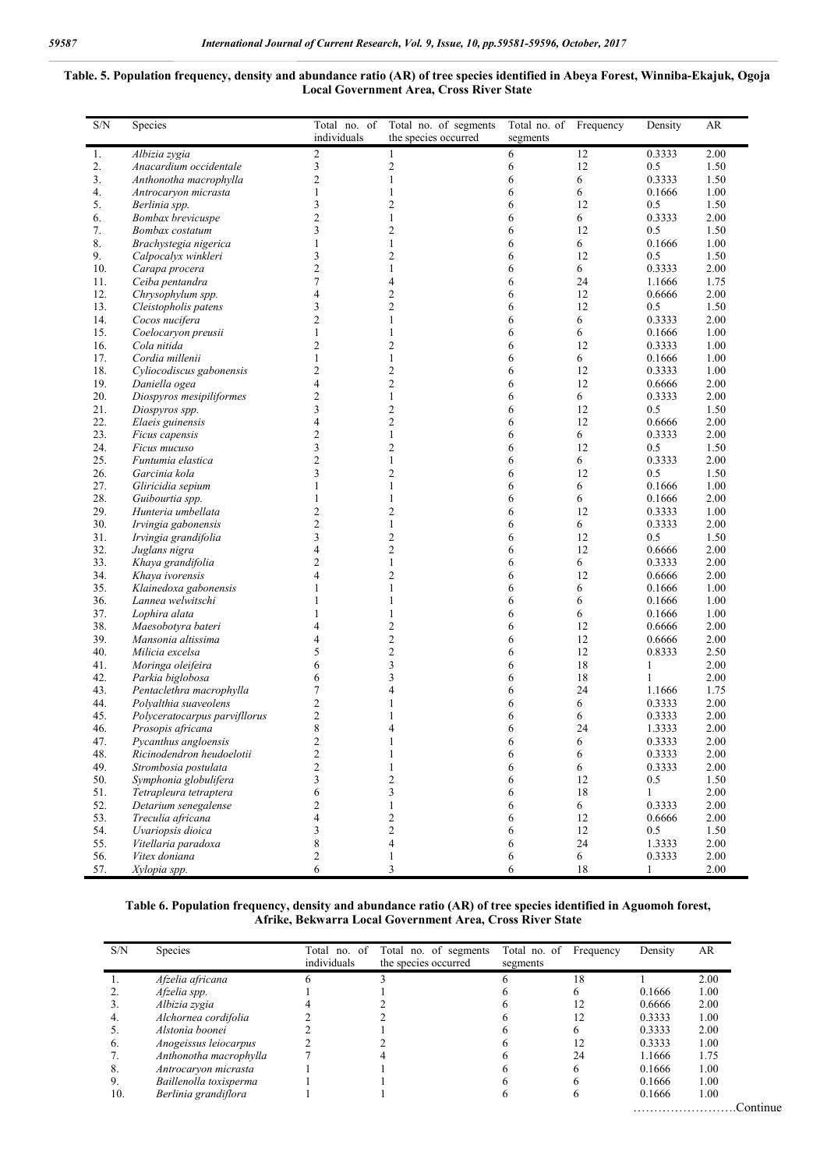#### **Table. 5. Population frequency, density and abundance ratio (AR) of tree species identified in Abeya Forest, Winniba-Ekajuk, Ogoja Local Government Area, Cross River State**

| S/N        | Species                                   | Total no. of<br>individuals    | Total no. of segments<br>the species occurred | Total no. of Frequency<br>segments |         | Density          | AR           |
|------------|-------------------------------------------|--------------------------------|-----------------------------------------------|------------------------------------|---------|------------------|--------------|
| 1.         | Albizia zygia                             | $\boldsymbol{2}$               | $\mathbf{1}$                                  | 6                                  | 12      | 0.3333           | 2.00         |
| 2.         | Anacardium occidentale                    | $\mathfrak{Z}$                 | $\mathbf{2}$                                  | 6                                  | 12      | 0.5              | 1.50         |
| 3.         | Anthonotha macrophylla                    | $\overline{c}$                 | 1                                             | 6                                  | 6       | 0.3333           | 1.50         |
| 4.         | Antrocaryon micrasta                      | $\mathbf{1}$                   | 1                                             | 6                                  | 6       | 0.1666           | 1.00         |
| 5.         | Berlinia spp.                             | 3                              | 2                                             | 6                                  | 12      | 0.5              | 1.50         |
| 6.         | Bombax brevicuspe                         | $\overline{2}$                 | 1                                             | 6                                  | 6       | 0.3333           | 2.00         |
| 7.         | Bombax costatum                           | 3                              | 2                                             | 6                                  | 12      | 0.5              | 1.50         |
| 8.         | Brachystegia nigerica                     | $\mathbf{1}$                   | 1                                             | 6                                  | 6       | 0.1666           | 1.00         |
| 9.         | Calpocalyx winkleri                       | 3                              | $\overline{c}$                                | 6                                  | 12      | 0.5              | 1.50         |
| 10.        | Carapa procera                            | $\overline{2}$                 | 1                                             | 6                                  | 6       | 0.3333           | 2.00         |
| 11.        | Ceiba pentandra                           | $\tau$                         | 4                                             | 6                                  | 24      | 1.1666           | 1.75         |
| 12.        | Chrysophylum spp.                         | $\overline{4}$                 | $\overline{c}$                                | 6                                  | 12      | 0.6666           | 2.00         |
| 13.        | Cleistopholis patens                      | 3                              | $\overline{c}$                                | 6                                  | 12      | 0.5              | 1.50         |
| 14.        | Cocos nucifera                            | $\overline{2}$                 | 1                                             | 6                                  | 6       | 0.3333           | 2.00         |
| 15.        | Coelocaryon preusii                       | $\mathbf{1}$                   | 1                                             | 6                                  | 6       | 0.1666           | 1.00         |
| 16.        | Cola nitida                               | $\overline{2}$                 | $\overline{c}$                                | 6                                  | 12      | 0.3333           | 1.00         |
| 17.<br>18. | Cordia millenii                           | $\mathbf{1}$<br>$\overline{c}$ | $\mathbf{1}$<br>2                             | 6<br>6                             | 6<br>12 | 0.1666<br>0.3333 | 1.00<br>1.00 |
| 19.        | Cyliocodiscus gabonensis                  | $\overline{4}$                 | $\overline{c}$                                | 6                                  | 12      | 0.6666           | 2.00         |
| 20.        | Daniella ogea<br>Diospyros mesipiliformes | $\overline{c}$                 | 1                                             | 6                                  | 6       | 0.3333           | 2.00         |
| 21.        | Diospyros spp.                            | 3                              | 2                                             | 6                                  | 12      | 0.5              | 1.50         |
| 22.        | Elaeis guinensis                          | $\overline{4}$                 | 2                                             | 6                                  | 12      | 0.6666           | 2.00         |
| 23.        | Ficus capensis                            | $\overline{2}$                 | 1                                             | 6                                  | 6       | 0.3333           | 2.00         |
| 24.        | Ficus mucuso                              | 3                              | 2                                             | 6                                  | 12      | 0.5              | 1.50         |
| 25.        | Funtumia elastica                         | $\overline{2}$                 | 1                                             | 6                                  | 6       | 0.3333           | 2.00         |
| 26.        | Garcinia kola                             | 3                              | $\overline{c}$                                | 6                                  | 12      | 0.5              | 1.50         |
| 27.        | Gliricidia sepium                         | 1                              | 1                                             | 6                                  | 6       | 0.1666           | 1.00         |
| 28.        | Guibourtia spp.                           | $\mathbf{1}$                   | 1                                             | 6                                  | 6       | 0.1666           | 2.00         |
| 29.        | Hunteria umbellata                        | $\overline{2}$                 | $\overline{c}$                                | 6                                  | 12      | 0.3333           | 1.00         |
| 30.        | Irvingia gabonensis                       | $\overline{c}$                 | $\mathbf{1}$                                  | 6                                  | 6       | 0.3333           | 2.00         |
| 31.        | Irvingia grandifolia                      | 3                              | $\overline{c}$                                | 6                                  | 12      | 0.5              | 1.50         |
| 32.        | Juglans nigra                             | $\overline{4}$                 | $\overline{c}$                                | 6                                  | 12      | 0.6666           | 2.00         |
| 33.        | Khaya grandifolia                         | $\overline{2}$                 | 1                                             | 6                                  | 6       | 0.3333           | 2.00         |
| 34.        | Khaya ivorensis                           | 4                              | 2                                             | 6                                  | 12      | 0.6666           | 2.00         |
| 35.        | Klainedoxa gabonensis                     | 1                              | 1                                             | 6                                  | 6       | 0.1666           | 1.00         |
| 36.        | Lannea welwitschi                         | 1                              | 1                                             | 6                                  | 6       | 0.1666           | 1.00         |
| 37.        | Lophira alata                             | 1                              | 1                                             | 6                                  | 6       | 0.1666           | 1.00         |
| 38.        | Maesobotyra bateri                        | $\overline{4}$                 | $\overline{c}$                                | 6                                  | 12      | 0.6666           | 2.00         |
| 39.        | Mansonia altissima                        | 4                              | $\overline{c}$                                | 6                                  | 12      | 0.6666           | 2.00         |
| 40.        | Milicia excelsa                           | 5                              | $\overline{c}$                                | 6                                  | 12      | 0.8333           | 2.50         |
| 41.        | Moringa oleifeira                         | 6                              | 3                                             | 6                                  | 18      | 1                | 2.00         |
| 42.        | Parkia biglobosa                          | 6                              | 3                                             | 6                                  | 18      | 1                | 2.00         |
| 43.        | Pentaclethra macrophylla                  | 7                              | 4                                             | 6                                  | 24      | 1.1666           | 1.75         |
| 44.        | Polyalthia suaveolens                     | $\overline{2}$                 | 1                                             | 6                                  | 6       | 0.3333           | 2.00         |
| 45.        | Polyceratocarpus parvifllorus             | $\overline{c}$                 | 1                                             | 6                                  | 6       | 0.3333           | 2.00         |
| 46.        | Prosopis africana                         | 8                              | 4                                             | 6                                  | 24      | 1.3333           | 2.00         |
| 47.        | Pycanthus angloensis                      | $\mathbf{2}$                   |                                               | 6                                  | 6       | 0.3333           | 2.00         |
| 48.        | Ricinodendron heudoelotii                 | $\sqrt{2}$                     | 1                                             | 6                                  | 6       | 0.3333           | 2.00         |
| 49.        | Strombosia postulata                      | $\overline{c}$                 | 1                                             | 6                                  | 6       | 0.3333           | 2.00         |
| 50.        | Symphonia globulifera                     | 3                              | 2                                             | 6                                  | 12      | 0.5              | 1.50         |
| 51.        | Tetrapleura tetraptera                    | 6                              | 3                                             | 6                                  | 18      | 1                | 2.00         |
| 52.        | Detarium senegalense                      | $\overline{2}$                 | 1                                             | 6                                  | 6       | 0.3333           | 2.00         |
| 53.        | Treculia africana                         | $\overline{4}$                 | 2                                             | 6                                  | 12      | 0.6666           | 2.00         |
| 54.        | Uvariopsis dioica                         | 3                              | $\overline{c}$<br>$\overline{\mathbf{4}}$     | 6                                  | 12      | 0.5<br>1.3333    | 1.50         |
| 55.<br>56. | Vitellaria paradoxa                       | $\,$ 8 $\,$                    |                                               | 6                                  | 24      |                  | 2.00         |
|            | Vitex doniana                             | $\mathbf{2}$<br>6              | $\mathbf{1}$<br>3                             | 6<br>6                             | 6<br>18 | 0.3333           | 2.00<br>2.00 |
| 57.        | Xylopia spp.                              |                                |                                               |                                    |         | $\mathbf{1}$     |              |

### **Table 6. Population frequency, density and abundance ratio (AR) of tree species identified in Aguomoh forest, Afrike, Bekwarra Local Government Area, Cross River State**

| S/N | <b>Species</b>         | Total<br>no. of | no. of segments<br>Total | Total no. of | Frequency | Density | AR       |
|-----|------------------------|-----------------|--------------------------|--------------|-----------|---------|----------|
|     |                        | individuals     | the species occurred     | segments     |           |         |          |
|     | Afzelia africana       |                 |                          |              | 18        |         | 2.00     |
|     | Afzelia spp.           |                 |                          |              |           | 0.1666  | 1.00     |
|     | Albizia zygia          |                 |                          |              |           | 0.6666  | 2.00     |
| 4.  | Alchornea cordifolia   |                 |                          |              | 12        | 0.3333  | 1.00     |
|     | Alstonia boonei        |                 |                          |              |           | 0.3333  | 2.00     |
| O.  | Anogeissus leiocarpus  |                 |                          |              |           | 0.3333  | 1.00     |
|     | Anthonotha macrophylla |                 |                          |              | 24        | 1.1666  | 1.75     |
| 8.  | Antrocaryon micrasta   |                 |                          |              | h         | 0.1666  | 1.00     |
| 9.  | Baillenolla toxisperma |                 |                          |              |           | 0.1666  | 1.00     |
| 10. | Berlinia grandiflora   |                 |                          |              |           | 0.1666  | $1.00\,$ |
|     |                        |                 |                          |              |           |         | Continue |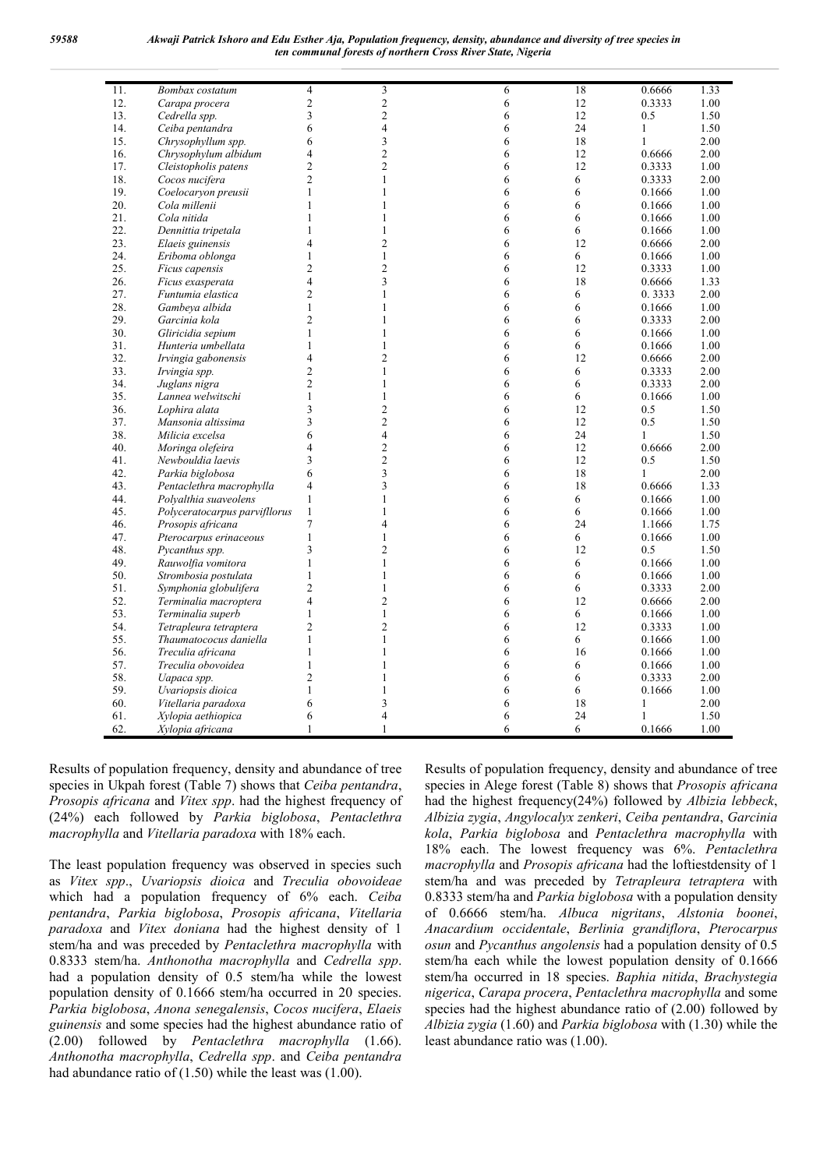| 11. | <b>Bombax</b> costatum        | 4                        | 3              | 6 | 18 | 0.6666       | 1.33 |
|-----|-------------------------------|--------------------------|----------------|---|----|--------------|------|
| 12. | Carapa procera                | $\overline{c}$           | $\overline{c}$ | 6 | 12 | 0.3333       | 1.00 |
| 13. | Cedrella spp.                 | 3                        | $\overline{c}$ | 6 | 12 | 0.5          | 1.50 |
| 14. | Ceiba pentandra               | 6                        | $\overline{4}$ | 6 | 24 | $\mathbf{1}$ | 1.50 |
| 15. | Chrysophyllum spp.            | 6                        | 3              | 6 | 18 | $\mathbf{1}$ | 2.00 |
| 16. | Chrysophylum albidum          | 4                        | $\overline{c}$ | 6 | 12 | 0.6666       | 2.00 |
| 17. | Cleistopholis patens          | $\overline{2}$           | $\overline{c}$ | 6 | 12 | 0.3333       | 1.00 |
| 18. | Cocos nucifera                | $\overline{2}$           | $\mathbf{1}$   | 6 | 6  | 0.3333       | 2.00 |
| 19. | Coelocaryon preusii           | 1                        | $\mathbf{1}$   | 6 | 6  | 0.1666       | 1.00 |
| 20. | Cola millenii                 | 1                        | $\mathbf{1}$   | 6 | 6  | 0.1666       | 1.00 |
| 21. | Cola nitida                   | 1                        | 1              | 6 | 6  | 0.1666       | 1.00 |
| 22. | Dennittia tripetala           | 1                        | $\mathbf{1}$   | 6 | 6  | 0.1666       | 1.00 |
| 23. | Elaeis guinensis              | $\overline{\mathcal{L}}$ | $\overline{c}$ | 6 | 12 | 0.6666       | 2.00 |
| 24. | Eriboma oblonga               | 1                        | $\mathbf{1}$   | 6 | 6  | 0.1666       | 1.00 |
| 25. | Ficus capensis                | 2                        | $\overline{c}$ | 6 | 12 | 0.3333       | 1.00 |
| 26. | Ficus exasperata              | $\overline{\mathcal{L}}$ | 3              | 6 | 18 | 0.6666       | 1.33 |
| 27. | Funtumia elastica             | $\overline{2}$           | 1              | 6 | 6  | 0.3333       | 2.00 |
| 28. | Gambeya albida                | 1                        | 1              | 6 | 6  | 0.1666       | 1.00 |
| 29. | Garcinia kola                 | $\overline{c}$           | $\mathbf{1}$   | 6 | 6  | 0.3333       | 2.00 |
| 30. | Gliricidia sepium             | 1                        | $\mathbf{1}$   | 6 | 6  | 0.1666       | 1.00 |
| 31. | Hunteria umbellata            | 1                        | $\mathbf{1}$   | 6 | 6  | 0.1666       | 1.00 |
| 32. | Irvingia gabonensis           | $\overline{\mathcal{L}}$ | $\overline{2}$ | 6 | 12 | 0.6666       | 2.00 |
| 33. | Irvingia spp.                 | $\overline{2}$           | $\mathbf{1}$   | 6 | 6  | 0.3333       | 2.00 |
| 34. | Juglans nigra                 | $\overline{2}$           | 1              | 6 | 6  | 0.3333       | 2.00 |
| 35. | Lannea welwitschi             | $\mathbf{1}$             | $\mathbf{1}$   | 6 | 6  | 0.1666       | 1.00 |
| 36. | Lophira alata                 | 3                        | $\overline{c}$ | 6 | 12 | 0.5          | 1.50 |
| 37. | Mansonia altissima            | 3                        | $\overline{c}$ | 6 | 12 | 0.5          | 1.50 |
| 38. | Milicia excelsa               | 6                        | $\overline{4}$ | 6 | 24 | $\mathbf{1}$ | 1.50 |
| 40. | Moringa olefeira              | 4                        | $\overline{c}$ | 6 | 12 | 0.6666       | 2.00 |
| 41. | Newbouldia laevis             | 3                        | $\mathfrak{2}$ | 6 | 12 | 0.5          | 1.50 |
| 42. | Parkia biglobosa              | 6                        | 3              | 6 | 18 | 1            | 2.00 |
| 43. | Pentaclethra macrophylla      | 4                        | 3              | 6 | 18 | 0.6666       | 1.33 |
| 44. | Polyalthia suaveolens         | 1                        | $\mathbf{1}$   | 6 | 6  | 0.1666       | 1.00 |
| 45. | Polyceratocarpus parvifllorus | 1                        | $\mathbf{1}$   | 6 | 6  | 0.1666       | 1.00 |
| 46. | Prosopis africana             | $\overline{7}$           | 4              | 6 | 24 | 1.1666       | 1.75 |
| 47. | Pterocarpus erinaceous        | 1                        | $\mathbf{1}$   | 6 | 6  | 0.1666       | 1.00 |
| 48. | Pycanthus spp.                | $\overline{\mathbf{3}}$  | $\overline{c}$ | 6 | 12 | 0.5          | 1.50 |
| 49. | Rauwolfia vomitora            | 1                        | $\mathbf{1}$   | 6 | 6  | 0.1666       | 1.00 |
| 50. | Strombosia postulata          | 1                        | $\mathbf{1}$   | 6 | 6  | 0.1666       | 1.00 |
| 51. | Symphonia globulifera         | $\overline{c}$           | $\mathbf{1}$   | 6 | 6  | 0.3333       | 2.00 |
| 52. | Terminalia macroptera         | $\overline{4}$           | $\overline{c}$ | 6 | 12 | 0.6666       | 2.00 |
| 53. | Terminalia superb             | 1                        | $\mathbf{1}$   | 6 | 6  | 0.1666       | 1.00 |
| 54. | Tetrapleura tetraptera        | $\overline{2}$           | 2              | 6 | 12 | 0.3333       | 1.00 |
| 55. | Thaumatococus daniella        | 1                        | $\mathbf{1}$   | 6 | 6  | 0.1666       | 1.00 |
| 56. | Treculia africana             | 1                        | $\mathbf{1}$   | 6 | 16 | 0.1666       | 1.00 |
|     |                               | 1                        | 1              |   |    |              |      |
| 57. | Treculia obovoidea            | $\overline{2}$           | $\mathbf{1}$   | 6 | 6  | 0.1666       | 1.00 |
| 58. | Uapaca spp.                   |                          |                | 6 | 6  | 0.3333       | 2.00 |
| 59. | Uvariopsis dioica             | 1                        | $\mathbf{1}$   | 6 | 6  | 0.1666       | 1.00 |
| 60. | Vitellaria paradoxa           | 6                        | 3              | 6 | 18 | 1            | 2.00 |
| 61. | Xylopia aethiopica            | 6                        | 4              | 6 | 24 | $\mathbf{1}$ | 1.50 |
| 62. | Xylopia africana              | 1                        | $\mathbf{1}$   | 6 | 6  | 0.1666       | 1.00 |

Results of population frequency, density and abundance of tree species in Ukpah forest (Table 7) shows that *Ceiba pentandra*, *Prosopis africana* and *Vitex spp*. had the highest frequency of (24%) each followed by *Parkia biglobosa*, *Pentaclethra macrophylla* and *Vitellaria paradoxa* with 18% each.

The least population frequency was observed in species such as *Vitex spp*., *Uvariopsis dioica* and *Treculia obovoideae* which had a population frequency of 6% each. *Ceiba pentandra*, *Parkia biglobosa*, *Prosopis africana*, *Vitellaria paradoxa* and *Vitex doniana* had the highest density of 1 stem/ha and was preceded by *Pentaclethra macrophylla* with 0.8333 stem/ha. *Anthonotha macrophylla* and *Cedrella spp*. had a population density of 0.5 stem/ha while the lowest population density of 0.1666 stem/ha occurred in 20 species. *Parkia biglobosa*, *Anona senegalensis*, *Cocos nucifera*, *Elaeis guinensis* and some species had the highest abundance ratio of (2.00) followed by *Pentaclethra macrophylla* (1.66). *Anthonotha macrophylla*, *Cedrella spp*. and *Ceiba pentandra* had abundance ratio of (1.50) while the least was (1.00).

Results of population frequency, density and abundance of tree species in Alege forest (Table 8) shows that *Prosopis africana* had the highest frequency(24%) followed by *Albizia lebbeck*, *Albizia zygia*, *Angylocalyx zenkeri*, *Ceiba pentandra*, *Garcinia kola*, *Parkia biglobosa* and *Pentaclethra macrophylla* with 18% each. The lowest frequency was 6%. *Pentaclethra macrophylla* and *Prosopis africana* had the loftiestdensity of 1 stem/ha and was preceded by *Tetrapleura tetraptera* with 0.8333 stem/ha and *Parkia biglobosa* with a population density of 0.6666 stem/ha. *Albuca nigritans*, *Alstonia boonei*, *Anacardium occidentale*, *Berlinia grandiflora*, *Pterocarpus osun* and *Pycanthus angolensis* had a population density of 0.5 stem/ha each while the lowest population density of 0.1666 stem/ha occurred in 18 species. *Baphia nitida*, *Brachystegia nigerica*, *Carapa procera*, *Pentaclethra macrophylla* and some species had the highest abundance ratio of (2.00) followed by *Albizia zygia* (1.60) and *Parkia biglobosa* with (1.30) while the least abundance ratio was (1.00).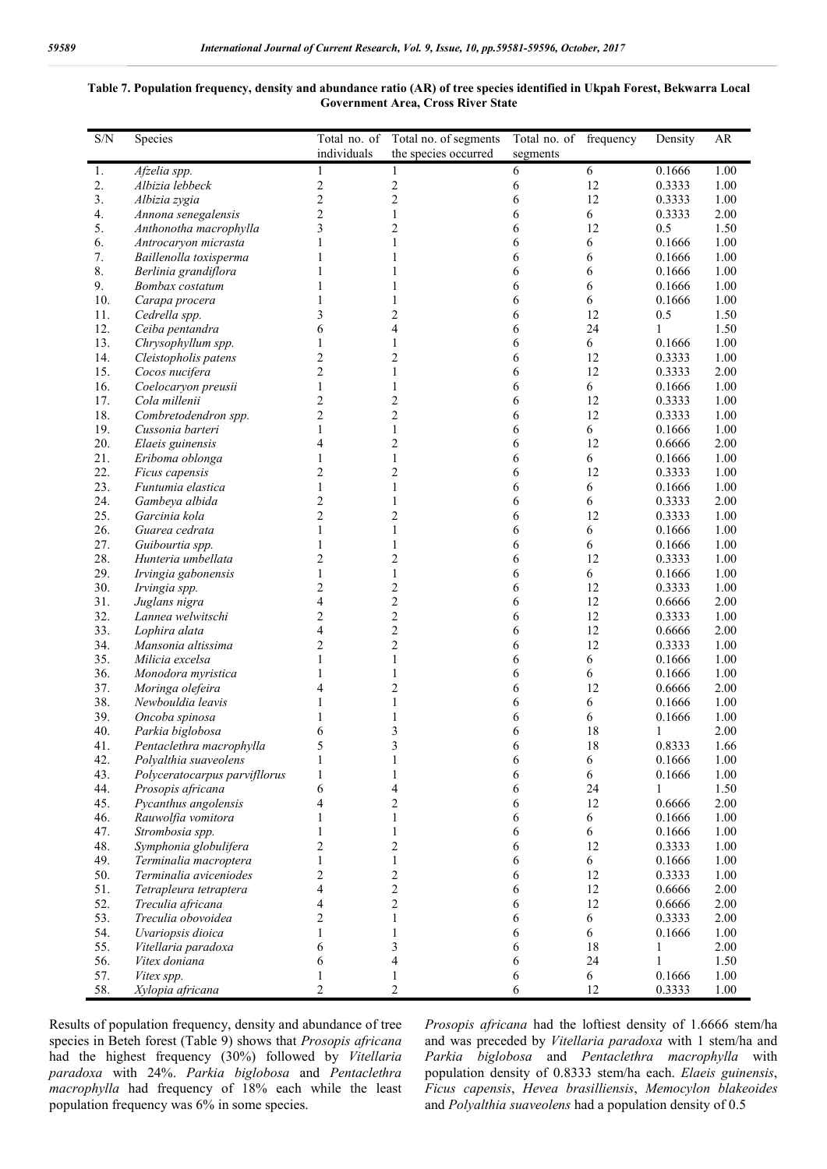### **Table 7. Population frequency, density and abundance ratio (AR) of tree species identified in Ukpah Forest, Bekwarra Local Government Area, Cross River State**

| S/N        | Species                                            | Total no. of             | Total no. of segments   | Total no. of frequency |            | Density          | AR           |
|------------|----------------------------------------------------|--------------------------|-------------------------|------------------------|------------|------------------|--------------|
|            |                                                    | individuals              | the species occurred    | segments               |            |                  |              |
| 1.         | Afzelia spp.                                       | 1                        |                         | 6                      | 6          | 0.1666           | 1.00         |
| 2.         | Albizia lebbeck                                    | $\overline{c}$           | $\overline{\mathbf{c}}$ | 6                      | 12         | 0.3333           | 1.00         |
| 3.         | Albizia zygia                                      | $\overline{c}$           | 2                       | 6                      | 12         | 0.3333           | 1.00         |
| 4.         | Annona senegalensis                                | $\overline{c}$           | 1                       | 6                      | 6          | 0.3333           | 2.00         |
| 5.         | Anthonotha macrophylla                             | 3                        | 2                       | 6                      | 12         | 0.5              | 1.50         |
| 6.         | Antrocaryon micrasta                               | 1                        | 1                       | 6                      | 6          | 0.1666           | 1.00         |
| 7.<br>8.   | Baillenolla toxisperma                             | 1<br>1                   |                         | 6                      | 6          | 0.1666           | 1.00         |
| 9.         | Berlinia grandiflora<br>Bombax costatum            | 1                        |                         | 6<br>6                 | 6<br>6     | 0.1666<br>0.1666 | 1.00<br>1.00 |
| 10.        | Carapa procera                                     | 1                        |                         | 6                      | 6          | 0.1666           | 1.00         |
| 11.        | Cedrella spp.                                      | 3                        | 2                       | 6                      | 12         | 0.5              | 1.50         |
| 12.        | Ceiba pentandra                                    | 6                        | 4                       | 6                      | 24         | 1                | 1.50         |
| 13.        | Chrysophyllum spp.                                 | 1                        |                         | 6                      | 6          | 0.1666           | 1.00         |
| 14.        | Cleistopholis patens                               | $\overline{c}$           | 2                       | 6                      | 12         | 0.3333           | 1.00         |
| 15.        | Cocos nucifera                                     | $\overline{c}$           | 1                       | 6                      | 12         | 0.3333           | 2.00         |
| 16.        | Coelocaryon preusii                                | 1                        | 1                       | 6                      | 6          | 0.1666           | 1.00         |
| 17.        | Cola millenii                                      | 2                        | 2                       | 6                      | 12         | 0.3333           | 1.00         |
| 18.        | Combretodendron spp.                               | $\overline{c}$           | 2                       | 6                      | 12         | 0.3333           | 1.00         |
| 19.        | Cussonia barteri                                   | 1                        | 1                       | 6                      | 6          | 0.1666           | 1.00         |
| 20.        | Elaeis guinensis                                   | 4                        | 2                       | 6                      | 12         | 0.6666           | 2.00         |
| 21.        | Eriboma oblonga                                    | 1                        | 1                       | 6                      | 6          | 0.1666           | 1.00         |
| 22.        | Ficus capensis                                     | 2                        | 2                       | 6                      | 12         | 0.3333           | 1.00         |
| 23.        | Funtumia elastica                                  | 1                        | 1                       | 6                      | 6          | 0.1666           | 1.00         |
| 24.        | Gambeya albida                                     | $\overline{c}$           | 1                       | 6                      | 6          | 0.3333           | 2.00         |
| 25.        | Garcinia kola                                      | $\overline{c}$           | 2                       | 6                      | 12         | 0.3333           | 1.00         |
| 26.        | Guarea cedrata                                     | 1                        | 1                       | 6                      | 6          | 0.1666           | 1.00         |
| 27.        | Guibourtia spp.                                    | 1                        | 1                       | 6                      | 6          | 0.1666           | 1.00         |
| 28.        | Hunteria umbellata                                 | 2                        | 2                       | 6                      | 12         | 0.3333           | 1.00         |
| 29.        | Irvingia gabonensis                                | 1                        | $\mathbf{1}$            | 6                      | 6          | 0.1666           | 1.00         |
| 30.        | Irvingia spp.                                      | $\overline{c}$           | 2                       | 6                      | 12         | 0.3333           | 1.00         |
| 31.        | Juglans nigra                                      | 4                        | 2                       | 6                      | 12         | 0.6666           | 2.00         |
| 32.        | Lannea welwitschi                                  | $\overline{c}$           | $\overline{\mathbf{c}}$ | 6                      | 12         | 0.3333           | 1.00         |
| 33.        | Lophira alata                                      | 4                        | 2                       | 6                      | 12         | 0.6666           | 2.00         |
| 34.        | Mansonia altissima                                 | 2                        | 2                       | 6                      | 12         | 0.3333           | 1.00         |
| 35.        | Milicia excelsa                                    | 1                        | 1                       | 6                      | 6          | 0.1666           | 1.00         |
| 36.        | Monodora myristica                                 | 1                        | 1                       | 6                      | 6          | 0.1666           | 1.00         |
| 37.        | Moringa olefeira                                   | 4                        | 2                       | 6                      | 12         | 0.6666           | 2.00         |
| 38.        | Newbouldia leavis                                  | 1                        |                         | 6                      | 6          | 0.1666           | 1.00         |
| 39.        | Oncoba spinosa                                     | 1                        |                         | 6                      | 6          | 0.1666           | 1.00         |
| 40.        | Parkia biglobosa                                   | 6                        | 3<br>3                  | 6                      | 18         | 1                | 2.00         |
| 41.<br>42. | Pentaclethra macrophylla                           | 1                        |                         | 6                      | 18         | 0.8333<br>0.1666 | 1.66<br>1.00 |
| 43.        | Polyalthia suaveolens                              | $\mathbf{1}$             | 1<br>1                  | 6<br>6                 | 6          | 0.1666           | 1.00         |
| 44.        | Polyceratocarpus parvifllorus<br>Prosopis africana | 6                        | 4                       | 6                      | 6<br>24    | 1                | 1.50         |
| 45.        | Pycanthus angolensis                               | 4                        | $\overline{c}$          | 6                      | 12         | 0.6666           | 2.00         |
| 46.        | Rauwolfia vomitora                                 | $\mathbf{1}$             | $\mathbf{1}$            | 6                      | $\sqrt{6}$ | 0.1666           | 1.00         |
| 47.        | Strombosia spp.                                    | $\mathbf{1}$             | $\mathbf{1}$            | 6                      | 6          | 0.1666           | 1.00         |
| 48.        | Symphonia globulifera                              | $\overline{c}$           | $\overline{c}$          | 6                      | 12         | 0.3333           | 1.00         |
| 49.        | Terminalia macroptera                              | $\mathbf{1}$             | $\mathbf{1}$            | 6                      | 6          | 0.1666           | 1.00         |
| 50.        | Terminalia aviceniodes                             | $\overline{\mathbf{c}}$  | $\overline{\mathbf{c}}$ | 6                      | 12         | 0.3333           | 1.00         |
| 51.        | Tetrapleura tetraptera                             | $\overline{\mathcal{L}}$ | $\overline{c}$          | 6                      | 12         | 0.6666           | 2.00         |
| 52.        | Treculia africana                                  | 4                        | $\overline{c}$          | 6                      | 12         | 0.6666           | 2.00         |
| 53.        | Treculia obovoidea                                 | $\overline{c}$           | $\mathbf{1}$            | 6                      | $\sqrt{6}$ | 0.3333           | 2.00         |
| 54.        | Uvariopsis dioica                                  | $\mathbf{1}$             | $\mathbf{1}$            | 6                      | $\sqrt{6}$ | 0.1666           | 1.00         |
| 55.        | Vitellaria paradoxa                                | 6                        | 3                       | 6                      | 18         | 1                | 2.00         |
| 56.        | Vitex doniana                                      | 6                        | 4                       | 6                      | 24         | 1                | 1.50         |
| 57.        | Vitex spp.                                         | $\mathbf{1}$             | $\mathbf{1}$            | 6                      | 6          | 0.1666           | 1.00         |
| 58.        | Xylopia africana                                   | $\overline{c}$           | 2                       | 6                      | 12         | 0.3333           | 1.00         |

Results of population frequency, density and abundance of tree species in Beteh forest (Table 9) shows that *Prosopis africana* had the highest frequency (30%) followed by *Vitellaria paradoxa* with 24%. *Parkia biglobosa* and *Pentaclethra macrophylla* had frequency of 18% each while the least population frequency was 6% in some species.

*Prosopis africana* had the loftiest density of 1.6666 stem/ha and was preceded by *Vitellaria paradoxa* with 1 stem/ha and *Parkia biglobosa* and *Pentaclethra macrophylla* with population density of 0.8333 stem/ha each. *Elaeis guinensis*, *Ficus capensis*, *Hevea brasilliensis*, *Memocylon blakeoides* and *Polyalthia suaveolens* had a population density of 0.5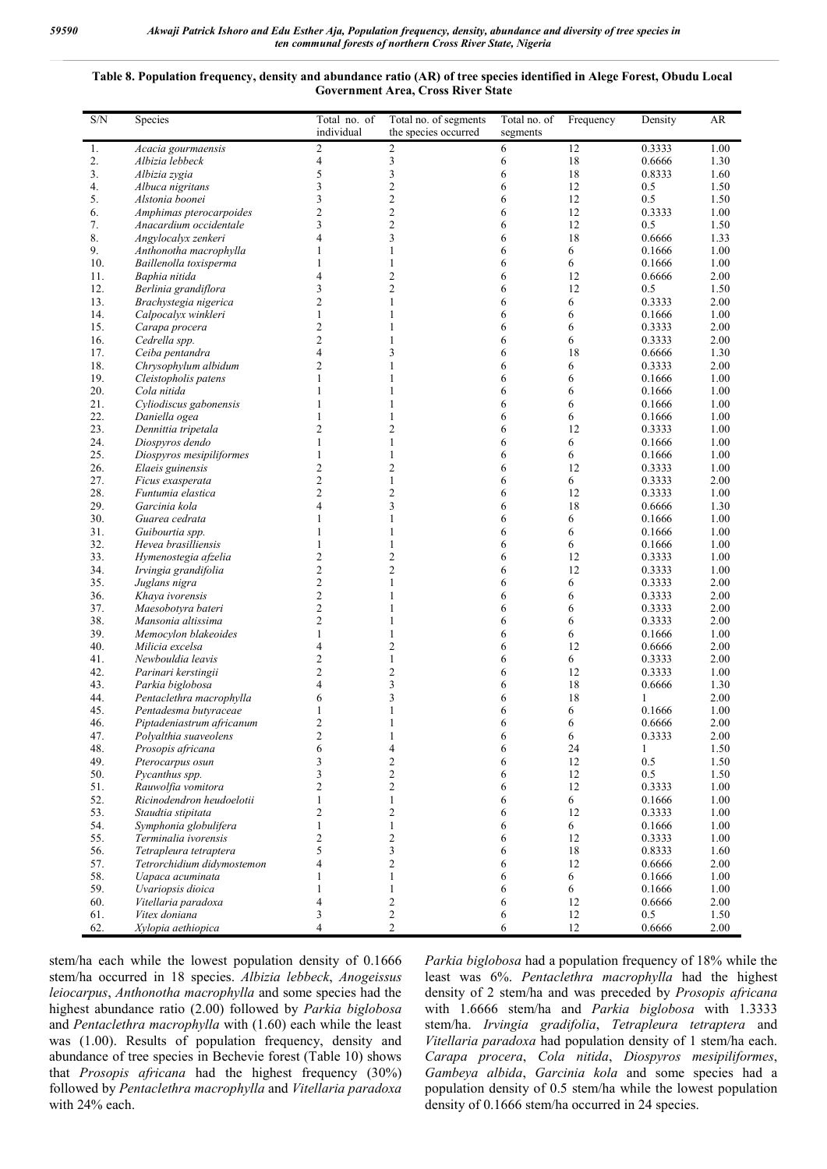#### **Table 8. Population frequency, density and abundance ratio (AR) of tree species identified in Alege Forest, Obudu Local Government Area, Cross River State**

| $\ensuremath{\mathrm{S/N}}$ | Species                                       | Total no. of<br>individual | Total no. of segments<br>the species occurred | Total no. of<br>segments | Frequency | Density          | AR           |
|-----------------------------|-----------------------------------------------|----------------------------|-----------------------------------------------|--------------------------|-----------|------------------|--------------|
| 1.                          | Acacia gourmaensis                            | $\overline{c}$             | $\overline{2}$                                | 6                        | 12        | 0.3333           | 1.00         |
| 2.                          | Albizia lebbeck                               | 4                          | 3                                             | 6                        | 18        | 0.6666           | 1.30         |
| 3.                          | Albizia zygia                                 | 5                          | 3                                             | 6                        | 18        | 0.8333           | 1.60         |
| 4.                          | Albuca nigritans                              | 3                          | $\overline{c}$                                | 6                        | 12        | 0.5              | 1.50         |
| 5.                          | Alstonia boonei                               | 3                          | $\overline{c}$                                | 6                        | 12        | 0.5              | 1.50         |
| 6.                          | Amphimas pterocarpoides                       | $\overline{c}$             | $\overline{2}$                                | 6                        | 12        | 0.3333           | 1.00         |
| 7.<br>8.                    | Anacardium occidentale                        | 3<br>4                     | $\overline{2}$                                | 6                        | 12        | 0.5              | 1.50         |
| 9.                          | Angylocalyx zenkeri<br>Anthonotha macrophylla | 1                          | 3<br>1                                        | 6                        | 18<br>6   | 0.6666           | 1.33<br>1.00 |
| 10.                         | Baillenolla toxisperma                        | 1                          | 1                                             | 6<br>6                   | 6         | 0.1666<br>0.1666 | 1.00         |
| 11.                         | Baphia nitida                                 | 4                          | $\overline{2}$                                | 6                        | 12        | 0.6666           | 2.00         |
| 12.                         | Berlinia grandiflora                          | 3                          | $\overline{2}$                                | 6                        | 12        | 0.5              | 1.50         |
| 13.                         | Brachystegia nigerica                         | $\overline{c}$             | $\mathbf{1}$                                  | 6                        | 6         | 0.3333           | 2.00         |
| 14.                         | Calpocalyx winkleri                           | 1                          | 1                                             | 6                        | 6         | 0.1666           | 1.00         |
| 15.                         | Carapa procera                                | $\overline{c}$             | 1                                             | 6                        | 6         | 0.3333           | 2.00         |
| 16.                         | Cedrella spp.                                 | $\overline{2}$             | 1                                             | 6                        | 6         | 0.3333           | 2.00         |
| 17.                         | Ceiba pentandra                               | 4                          | 3                                             | 6                        | 18        | 0.6666           | 1.30         |
| 18.                         | Chrysophylum albidum                          | 2                          | $\mathbf{1}$                                  | 6                        | 6         | 0.3333           | 2.00         |
| 19.                         | Cleistopholis patens                          | 1                          | $\mathbf{1}$                                  | 6                        | 6         | 0.1666           | 1.00         |
| 20.                         | Cola nitida                                   | 1                          | 1                                             | 6                        | 6         | 0.1666           | 1.00         |
| 21.                         | Cyliodiscus gabonensis                        |                            | 1                                             | 6                        | 6         | 0.1666           | 1.00         |
| 22.                         | Daniella ogea                                 | 1                          | 1                                             | 6                        | 6         | 0.1666           | 1.00         |
| 23.                         | Dennittia tripetala                           | 2                          | $\overline{2}$                                | 6                        | 12        | 0.3333           | 1.00         |
| 24.                         | Diospyros dendo                               | 1                          | $\mathbf{1}$                                  | 6                        | 6         | 0.1666           | 1.00         |
| 25.                         | Diospyros mesipiliformes                      | 1                          | 1                                             | 6                        | 6         | 0.1666           | 1.00         |
| 26.<br>27.                  | Elaeis guinensis                              | 2<br>$\overline{c}$        | $\overline{2}$<br>$\mathbf{1}$                | 6<br>6                   | 12<br>6   | 0.3333<br>0.3333 | 1.00<br>2.00 |
| 28.                         | Ficus exasperata<br>Funtumia elastica         | $\overline{c}$             | $\overline{2}$                                | 6                        | 12        | 0.3333           | 1.00         |
| 29.                         | Garcinia kola                                 | 4                          | 3                                             | 6                        | 18        | 0.6666           | 1.30         |
| 30.                         | Guarea cedrata                                | 1                          | 1                                             | 6                        | 6         | 0.1666           | 1.00         |
| 31.                         | Guibourtia spp.                               | 1                          | 1                                             | 6                        | 6         | 0.1666           | 1.00         |
| 32.                         | Hevea brasilliensis                           | 1                          | 1                                             | 6                        | 6         | 0.1666           | 1.00         |
| 33.                         | Hymenostegia afzelia                          | 2                          | $\overline{2}$                                | 6                        | 12        | 0.3333           | 1.00         |
| 34.                         | Irvingia grandifolia                          | $\overline{\mathbf{c}}$    | $\overline{2}$                                | 6                        | 12        | 0.3333           | 1.00         |
| 35.                         | Juglans nigra                                 | $\overline{c}$             | $\mathbf{1}$                                  | 6                        | 6         | 0.3333           | 2.00         |
| 36.                         | Khaya ivorensis                               | $\overline{2}$             | 1                                             | 6                        | 6         | 0.3333           | 2.00         |
| 37.                         | Maesobotyra bateri                            | $\overline{c}$             | 1                                             | 6                        | 6         | 0.3333           | 2.00         |
| 38.                         | Mansonia altissima                            | $\overline{c}$             | 1                                             | 6                        | 6         | 0.3333           | 2.00         |
| 39.                         | Memocylon blakeoides                          | 1                          | 1                                             | 6                        | 6         | 0.1666           | 1.00         |
| 40.                         | Milicia excelsa                               | 4                          | $\overline{2}$                                | 6                        | 12        | 0.6666           | 2.00         |
| 41.                         | Newbouldia leavis                             | $\overline{c}$             | $\mathbf{1}$                                  | 6                        | 6         | 0.3333           | 2.00         |
| 42.<br>43.                  | Parinari kerstingii<br>Parkia biglobosa       | $\overline{c}$<br>4        | $\overline{c}$<br>3                           | 6<br>6                   | 12<br>18  | 0.3333<br>0.6666 | 1.00<br>1.30 |
| 44.                         | Pentaclethra macrophylla                      | 6                          | 3                                             | 6                        | 18        | 1                | 2.00         |
| 45.                         | Pentadesma butyraceae                         | 1                          | 1                                             | 6                        | 6         | 0.1666           | 1.00         |
| 46.                         | Piptadeniastrum africanum                     | 2                          | 1                                             | 6                        | 6         | 0.6666           | 2.00         |
| 47.                         | Polyalthia suaveolens                         | 2                          |                                               | 6                        | 6         | 0.3333           | 2.00         |
| 48.                         | Prosopis africana                             | 6                          | 4                                             | 6                        | 24        | $\mathbf{1}$     | 1.50         |
| 49.                         | Pterocarpus osun                              | 3                          | $\overline{c}$                                | 6                        | 12        | 0.5              | 1.50         |
| 50.                         | Pycanthus spp.                                | 3                          | $\sqrt{2}$                                    | 6                        | 12        | 0.5              | 1.50         |
| 51.                         | Rauwolfia vomitora                            | $\overline{c}$             | $\overline{2}$                                | 6                        | 12        | 0.3333           | 1.00         |
| 52.                         | Ricinodendron heudoelotii                     | 1                          | 1                                             | 6                        | 6         | 0.1666           | 1.00         |
| 53.                         | Staudtia stipitata                            | 2                          | $\overline{2}$                                | 6                        | 12        | 0.3333           | 1.00         |
| 54.                         | Symphonia globulifera                         | $\mathbf{1}$               | $\mathbf{1}$                                  | 6                        | 6         | 0.1666           | 1.00         |
| 55.                         | Terminalia ivorensis                          | $\overline{c}$             | $\overline{c}$                                | 6                        | 12        | 0.3333           | 1.00         |
| 56.                         | Tetrapleura tetraptera                        | 5                          | 3                                             | 6                        | 18        | 0.8333           | 1.60         |
| 57.                         | Tetrorchidium didymostemon                    | 4                          | $\overline{2}$                                | 6                        | 12        | 0.6666           | 2.00         |
| 58.                         | Uapaca acuminata                              | 1                          | $\mathbf{1}$                                  | 6                        | 6         | 0.1666           | 1.00         |
| 59.                         | Uvariopsis dioica                             | 1                          | 1                                             | 6                        | 6         | 0.1666           | 1.00         |
| 60.<br>61.                  | Vitellaria paradoxa<br>Vitex doniana          | $\overline{4}$<br>3        | $\overline{2}$<br>$\mathfrak{2}$              | 6<br>6                   | 12<br>12  | 0.6666<br>0.5    | 2.00<br>1.50 |
| 62.                         | Xylopia aethiopica                            | $\overline{4}$             | $\overline{2}$                                | 6                        | 12        | 0.6666           | 2.00         |
|                             |                                               |                            |                                               |                          |           |                  |              |

stem/ha each while the lowest population density of 0.1666 stem/ha occurred in 18 species. *Albizia lebbeck*, *Anogeissus leiocarpus*, *Anthonotha macrophylla* and some species had the highest abundance ratio (2.00) followed by *Parkia biglobosa* and *Pentaclethra macrophylla* with (1.60) each while the least was (1.00). Results of population frequency, density and abundance of tree species in Bechevie forest (Table 10) shows that *Prosopis africana* had the highest frequency (30%) followed by *Pentaclethra macrophylla* and *Vitellaria paradoxa* with 24% each.

*Parkia biglobosa* had a population frequency of 18% while the least was 6%. *Pentaclethra macrophylla* had the highest density of 2 stem/ha and was preceded by *Prosopis africana* with 1.6666 stem/ha and *Parkia biglobosa* with 1.3333 stem/ha. *Irvingia gradifolia*, *Tetrapleura tetraptera* and *Vitellaria paradoxa* had population density of 1 stem/ha each. *Carapa procera*, *Cola nitida*, *Diospyros mesipiliformes*, *Gambeya albida*, *Garcinia kola* and some species had a population density of 0.5 stem/ha while the lowest population density of 0.1666 stem/ha occurred in 24 species.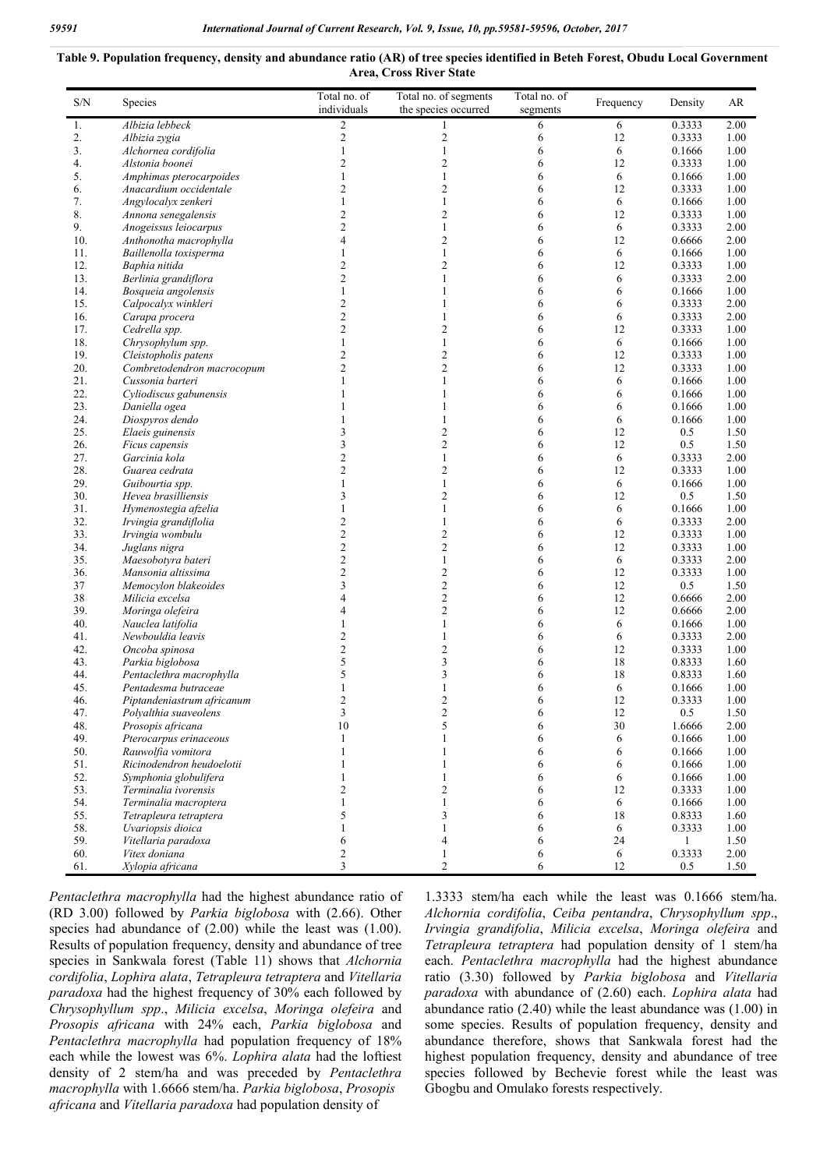#### **Table 9. Population frequency, density and abundance ratio (AR) of tree species identified in Beteh Forest, Obudu Local Government Area, Cross River State**

| S/N        | Species                                    | Total no. of<br>individuals    | Total no. of segments<br>the species occurred | Total no. of<br>segments | Frequency | Density<br>AR    |              |
|------------|--------------------------------------------|--------------------------------|-----------------------------------------------|--------------------------|-----------|------------------|--------------|
| 1.         | Albizia lebbeck                            | 2                              |                                               | 6                        | 6         | 0.3333           | 2.00         |
| 2.         | Albizia zygia                              | $\mathfrak{2}$                 | 2                                             | 6                        | 12        | 0.3333           | 1.00         |
| 3.         | Alchornea cordifolia                       | $\mathbf{1}$                   | $\mathbf{1}$                                  | 6                        | 6         | 0.1666           | 1.00         |
| 4.         | Alstonia boonei                            | $\overline{c}$                 | 2                                             | 6                        | 12        | 0.3333           | 1.00         |
| 5.         | Amphimas pterocarpoides                    | $\mathbf{1}$                   | $\mathbf{1}$                                  | 6                        | 6         | 0.1666           | 1.00         |
| 6.         | Anacardium occidentale                     | $\overline{c}$                 | 2                                             | 6                        | 12        | 0.3333           | 1.00         |
| 7.         | Angylocalyx zenkeri                        | $\mathbf{1}$                   | $\mathbf{1}$                                  | 6                        | 6         | 0.1666           | 1.00         |
| 8.         | Annona senegalensis                        | $\overline{2}$                 | 2                                             | 6                        | 12        | 0.3333           | 1.00         |
| 9.         | Anogeissus leiocarpus                      | $\overline{2}$                 | $\mathbf{1}$                                  | 6                        | 6         | 0.3333           | 2.00         |
| 10.        | Anthonotha macrophylla                     | 4                              | $\overline{c}$                                | 6                        | 12        | 0.6666           | 2.00         |
| 11.        | Baillenolla toxisperma                     | $\mathbf{1}$                   | $\mathbf{1}$                                  | 6                        | 6         | 0.1666           | 1.00         |
| 12.        | Baphia nitida                              | $\overline{c}$                 | $\overline{c}$                                | 6                        | 12        | 0.3333           | 1.00         |
| 13.        | Berlinia grandiflora                       | $\overline{c}$                 | 1                                             | 6                        | 6         | 0.3333           | 2.00         |
| 14.        | Bosqueia angolensis                        | $\mathbf{1}$                   | $\mathbf{1}$                                  | 6                        | 6         | 0.1666           | 1.00         |
| 15.        | Calpocalyx winkleri                        | $\overline{c}$                 | 1                                             | 6                        | 6         | 0.3333           | 2.00         |
| 16.        | Carapa procera                             | $\overline{c}$                 | $\mathbf{1}$                                  | 6                        | 6         | 0.3333           | 2.00         |
| 17.<br>18. | Cedrella spp.                              | $\overline{c}$<br>$\mathbf{1}$ | $\overline{c}$<br>$\mathbf{1}$                | 6                        | 12<br>6   | 0.3333<br>0.1666 | 1.00<br>1.00 |
| 19.        | Chrysophylum spp.<br>Cleistopholis patens  | $\mathfrak{2}$                 | 2                                             | 6<br>6                   | 12        | 0.3333           | 1.00         |
| 20.        | Combretodendron macrocopum                 | $\overline{c}$                 | $\overline{2}$                                | 6                        | 12        | 0.3333           | 1.00         |
| 21.        |                                            | $\mathbf{1}$                   | $\mathbf{1}$                                  | 6                        | 6         | 0.1666           |              |
| 22.        | Cussonia barteri<br>Cyliodiscus gabunensis | 1                              | 1                                             | 6                        | 6         | 0.1666           | 1.00<br>1.00 |
| 23.        | Daniella ogea                              | 1                              | 1                                             | 6                        | 6         | 0.1666           | 1.00         |
| 24.        | Diospyros dendo                            | 1                              | 1                                             | 6                        | 6         | 0.1666           | 1.00         |
| 25.        | Elaeis guinensis                           | 3                              | $\overline{c}$                                | 6                        | 12        | 0.5              | 1.50         |
| 26.        | Ficus capensis                             | 3                              | 2                                             | 6                        | 12        | 0.5              | 1.50         |
| 27.        | Garcinia kola                              | $\overline{2}$                 | $\mathbf{1}$                                  | 6                        | 6         | 0.3333           | 2.00         |
| 28.        | Guarea cedrata                             | $\mathfrak{2}$                 | $\overline{2}$                                | 6                        | 12        | 0.3333           | 1.00         |
| 29.        | Guibourtia spp.                            | $\mathbf{1}$                   | $\mathbf{1}$                                  | 6                        | 6         | 0.1666           | 1.00         |
| 30.        | Hevea brasilliensis                        | 3                              | $\overline{c}$                                | 6                        | 12        | 0.5              | 1.50         |
| 31.        | Hymenostegia afzelia                       | $\mathbf{1}$                   | $\mathbf{1}$                                  | 6                        | 6         | 0.1666           | 1.00         |
| 32.        | Irvingia grandiflolia                      | $\overline{c}$                 | $\mathbf{1}$                                  | 6                        | 6         | 0.3333           | 2.00         |
| 33.        | Irvingia wombulu                           | $\overline{2}$                 | $\overline{c}$                                | 6                        | 12        | 0.3333           | 1.00         |
| 34.        | Juglans nigra                              | $\overline{c}$                 | $\overline{c}$                                | 6                        | 12        | 0.3333           | 1.00         |
| 35.        | Maesobotyra bateri                         | $\sqrt{2}$                     | $\mathbf{1}$                                  | 6                        | 6         | 0.3333           | 2.00         |
| 36.        | Mansonia altissima                         | $\overline{c}$                 | $\overline{c}$                                | 6                        | 12        | 0.3333           | 1.00         |
| 37         | Memocylon blakeoides                       | 3                              | $\overline{c}$                                | 6                        | 12        | 0.5              | 1.50         |
| 38         | Milicia excelsa                            | 4                              | $\overline{c}$                                | 6                        | 12        | 0.6666           | 2.00         |
| 39.        | Moringa olefeira                           | 4                              | $\overline{2}$                                | 6                        | 12        | 0.6666           | 2.00         |
| 40.        | Nauclea latifolia                          | $\mathbf{1}$                   | $\mathbf{1}$                                  | 6                        | 6         | 0.1666           | 1.00         |
| 41.        | Newbouldia leavis                          | $\overline{c}$                 | $\mathbf{1}$                                  | 6                        | 6         | 0.3333           | 2.00         |
| 42.        | Oncoba spinosa                             | $\overline{c}$                 | $\overline{c}$                                | 6                        | 12        | 0.3333           | 1.00         |
| 43.        | Parkia biglobosa                           | 5                              | 3                                             | 6                        | 18        | 0.8333           | 1.60         |
| 44.        | Pentaclethra macrophylla                   | 5                              | 3                                             | 6                        | 18        | 0.8333           | 1.60         |
| 45.        | Pentadesma butraceae                       | 1                              | 1                                             | 6                        | 6         | 0.1666           | 1.00         |
| 46.        | Piptandeniastrum africanum                 | $\overline{2}$                 | $\overline{2}$                                | 6                        | 12        | 0.3333           | 1.00         |
| 47.        | Polyalthia suaveolens                      | 3                              | 2                                             | 6                        | 12        | 0.5              | 1.50         |
| 48.        | Prosopis africana                          | 10                             | 5                                             | 6                        | 30        | 1.6666           | 2.00         |
| 49.        | Pterocarpus erinaceous                     | 1                              | 1                                             | 6                        | 6         | 0.1666           | 1.00         |
| 50.        | Rauwolfia vomitora                         | 1                              |                                               | 6                        | 6         | 0.1666           | 1.00         |
| 51.        | Ricinodendron heudoelotii                  | 1                              | 1                                             | 6                        | 6         | 0.1666           | 1.00         |
| 52.        | Symphonia globulifera                      | 1                              | 1                                             | 6                        | 6         | 0.1666           | 1.00         |
| 53.        | Terminalia ivorensis                       | $\overline{2}$                 | 2                                             | 6                        | 12        | 0.3333           | 1.00         |
| 54.        | Terminalia macroptera                      | $\mathbf{1}$                   | $\mathbf{1}$                                  | 6                        | 6         | 0.1666           | 1.00         |
| 55.        | Tetrapleura tetraptera                     | 5                              | 3                                             | 6                        | 18        | 0.8333           | 1.60         |
| 58.        | Uvariopsis dioica                          | 1                              | 1                                             | 6                        | 6         | 0.3333           | 1.00         |
| 59.        | Vitellaria paradoxa                        | 6                              | 4                                             | 6                        | 24        | $\mathbf{1}$     | 1.50         |
| 60.<br>61. | Vitex doniana<br>Xylopia africana          | $\mathfrak{2}$<br>3            | 1<br>$\overline{2}$                           | 6<br>6                   | 6<br>12   | 0.3333<br>0.5    | 2.00<br>1.50 |
|            |                                            |                                |                                               |                          |           |                  |              |

*Pentaclethra macrophylla* had the highest abundance ratio of (RD 3.00) followed by *Parkia biglobosa* with (2.66). Other species had abundance of (2.00) while the least was (1.00). Results of population frequency, density and abundance of tree species in Sankwala forest (Table 11) shows that *Alchornia cordifolia*, *Lophira alata*, *Tetrapleura tetraptera* and *Vitellaria paradoxa* had the highest frequency of 30% each followed by *Chrysophyllum spp*., *Milicia excelsa*, *Moringa olefeira* and *Prosopis africana* with 24% each, *Parkia biglobosa* and *Pentaclethra macrophylla* had population frequency of 18% each while the lowest was 6%. *Lophira alata* had the loftiest density of 2 stem/ha and was preceded by *Pentaclethra macrophylla* with 1.6666 stem/ha. *Parkia biglobosa*, *Prosopis africana* and *Vitellaria paradoxa* had population density of

1.3333 stem/ha each while the least was 0.1666 stem/ha. *Alchornia cordifolia*, *Ceiba pentandra*, *Chrysophyllum spp*., *Irvingia grandifolia*, *Milicia excelsa*, *Moringa olefeira* and *Tetrapleura tetraptera* had population density of 1 stem/ha each. *Pentaclethra macrophylla* had the highest abundance ratio (3.30) followed by *Parkia biglobosa* and *Vitellaria paradoxa* with abundance of (2.60) each. *Lophira alata* had abundance ratio (2.40) while the least abundance was (1.00) in some species. Results of population frequency, density and abundance therefore, shows that Sankwala forest had the highest population frequency, density and abundance of tree species followed by Bechevie forest while the least was Gbogbu and Omulako forests respectively.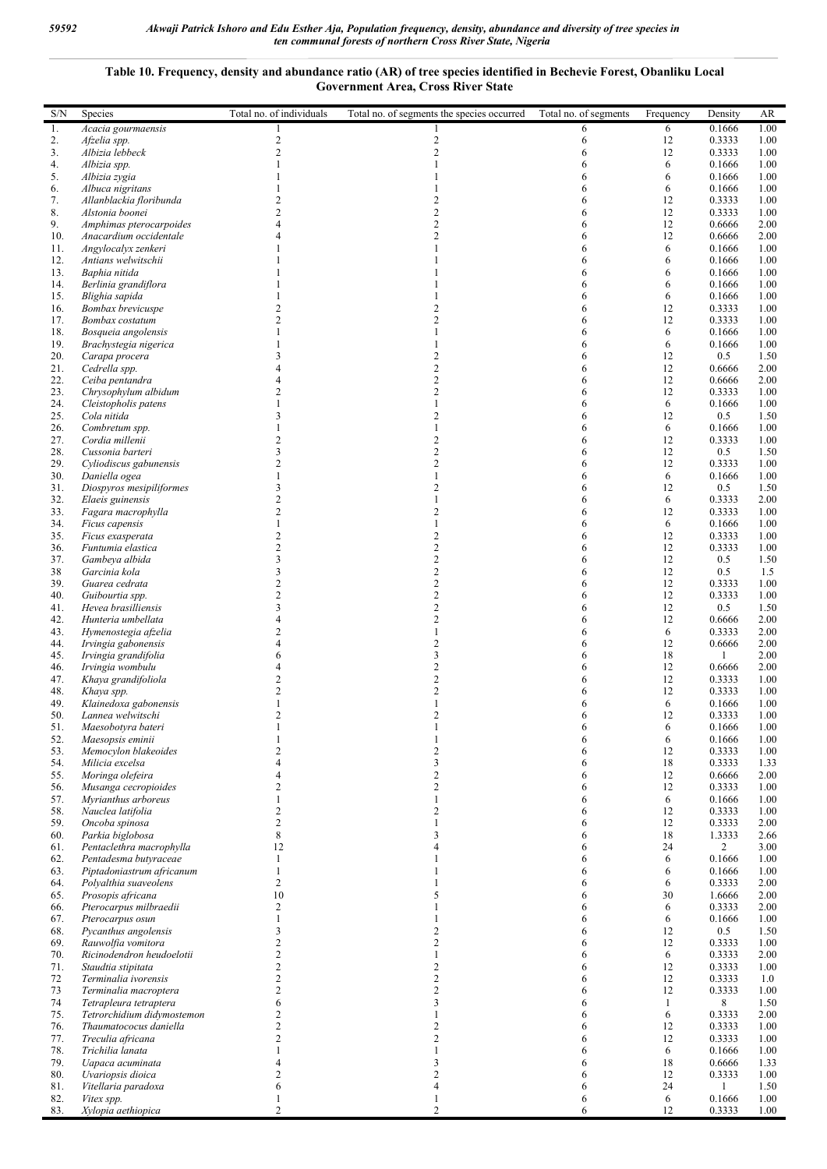## **Table 10. Frequency, density and abundance ratio (AR) of tree species identified in Bechevie Forest, Obanliku Local Government Area, Cross River State**

| S/N        | Species                                           | Total no. of individuals                  | Total no. of segments the species occurred | Total no. of segments | Frequency | Density                  | AR           |
|------------|---------------------------------------------------|-------------------------------------------|--------------------------------------------|-----------------------|-----------|--------------------------|--------------|
| 1.         | Acacia gourmaensis                                | -1                                        |                                            | 6                     | 6         | 0.1666                   | 1.00         |
| 2.         | Afzelia spp.                                      | $\boldsymbol{2}$                          | $\overline{\mathbf{c}}$                    | 6                     | 12        | 0.3333                   | 1.00         |
| 3.         | Albizia lebbeck                                   | $\overline{2}$                            | $\overline{c}$                             | 6                     | 12        | 0.3333                   | 1.00         |
| 4.<br>5.   | Albizia spp.<br>Albizia zygia                     | $\mathbf{1}$                              | 1                                          | 6<br>6                | 6<br>6    | 0.1666<br>0.1666         | 1.00<br>1.00 |
| 6.         | Albuca nigritans                                  |                                           |                                            |                       | 6         | 0.1666                   | 1.00         |
| 7.         | Allanblackia floribunda                           | $\overline{\mathbf{c}}$                   | 2                                          | 6                     | 12        | 0.3333                   | 1.00         |
| 8.         | Alstonia boonei                                   | $\overline{c}$                            | $\overline{2}$                             |                       | 12        | 0.3333                   | 1.00         |
| 9.         | Amphimas pterocarpoides                           | $\overline{4}$                            | $\overline{c}$                             | 6                     | 12        | 0.6666                   | 2.00         |
| 10.        | Anacardium occidentale                            | $\overline{4}$                            | $\overline{2}$<br>1                        | 6                     | 12        | 0.6666                   | 2.00         |
| 11.<br>12. | Angylocalyx zenkeri<br>Antians welwitschii        |                                           |                                            | 6<br>6                | 6<br>6    | 0.1666<br>0.1666         | 1.00<br>1.00 |
| 13.        | Baphia nitida                                     |                                           |                                            |                       | 6         | 0.1666                   | 1.00         |
| 14.        | Berlinia grandiflora                              |                                           |                                            |                       | 6         | 0.1666                   | 1.00         |
| 15.        | Blighia sapida                                    |                                           |                                            |                       | 6         | 0.1666                   | 1.00         |
| 16.        | Bombax brevicuspe                                 | $\boldsymbol{2}$                          | $\overline{c}$                             |                       | 12        | 0.3333                   | 1.00         |
| 17.        | Bombax costatum                                   | $\overline{c}$<br>$\mathbf{1}$            | $\overline{2}$<br>1                        |                       | 12        | 0.3333                   | 1.00         |
| 18.<br>19. | Bosqueia angolensis<br>Brachystegia nigerica      |                                           | 1                                          | 6<br>6                | 6<br>6    | 0.1666<br>0.1666         | 1.00<br>1.00 |
| 20.        | Carapa procera                                    | 3                                         | $\overline{c}$                             | 6                     | 12        | 0.5                      | 1.50         |
| 21.        | Cedrella spp.                                     | $\overline{4}$                            | $\overline{c}$                             | 6                     | 12        | 0.6666                   | 2.00         |
| 22.        | Ceiba pentandra                                   | $\overline{4}$                            | $\overline{c}$                             |                       | 12        | 0.6666                   | 2.00         |
| 23.        | Chrysophylum albidum                              | $\overline{c}$                            | $\overline{c}$                             | 6                     | 12        | 0.3333                   | 1.00         |
| 24.        | Cleistopholis patens                              | $\mathbf{1}$<br>3                         | 1<br>$\overline{c}$                        | 6                     | 6<br>12   | 0.1666                   | 1.00         |
| 25.<br>26. | Cola nitida<br>Combretum spp.                     | $\mathbf{1}$                              | 1                                          | 6                     | 6         | 0.5<br>0.1666            | 1.50<br>1.00 |
| 27.        | Cordia millenii                                   | $\boldsymbol{2}$                          | 2                                          | 6                     | 12        | 0.3333                   | 1.00         |
| 28.        | Cussonia barteri                                  | $\overline{\mathbf{3}}$                   | $\overline{c}$                             | 6                     | 12        | 0.5                      | 1.50         |
| 29.        | Cyliodiscus gabunensis                            | $\overline{c}$                            | $\overline{2}$                             |                       | 12        | 0.3333                   | 1.00         |
| 30.        | Daniella ogea                                     | $\mathbf{1}$                              | 1                                          | 6                     | 6         | 0.1666                   | 1.00         |
| 31.        | Diospyros mesipiliformes                          | 3                                         | 2                                          |                       | 12        | 0.5                      | 1.50         |
| 32.<br>33. | Elaeis guinensis<br>Fagara macrophylla            | $\overline{\mathbf{c}}$<br>$\overline{c}$ | 1<br>$\overline{c}$                        | 6<br>6                | 6<br>12   | 0.3333<br>0.3333         | 2.00<br>1.00 |
| 34.        | Ficus capensis                                    | $\mathbf{1}$                              | $\mathbf{1}$                               | 6                     | 6         | 0.1666                   | 1.00         |
| 35.        | Ficus exasperata                                  | $\boldsymbol{2}$                          | $\overline{c}$                             | 6                     | 12        | 0.3333                   | 1.00         |
| 36.        | Funtumia elastica                                 | $\overline{c}$                            | $\overline{c}$                             | 6                     | 12        | 0.3333                   | 1.00         |
| 37.        | Gambeya albida                                    | 3                                         | $\overline{c}$                             | 6                     | 12        | 0.5                      | 1.50         |
| 38         | Garcinia kola                                     | 3                                         | $\overline{c}$                             | 6                     | 12        | 0.5                      | 1.5          |
| 39.        | Guarea cedrata                                    | $\boldsymbol{2}$                          | $\overline{c}$                             | 6                     | 12        | 0.3333                   | 1.00         |
| 40.<br>41. | Guibourtia spp.<br>Hevea brasilliensis            | $\overline{\mathbf{c}}$<br>3              | $\overline{\mathbf{c}}$<br>$\overline{c}$  | 6                     | 12<br>12  | 0.3333<br>0.5            | 1.00<br>1.50 |
| 42.        | Hunteria umbellata                                | $\overline{4}$                            | $\overline{c}$                             | 6                     | 12        | 0.6666                   | 2.00         |
| 43.        | Hymenostegia afzelia                              | $\overline{c}$                            | 1                                          | 6                     | 6         | 0.3333                   | 2.00         |
| 44.        | Irvingia gabonensis                               | $\overline{4}$                            | $\overline{2}$                             | 6                     | 12        | 0.6666                   | 2.00         |
| 45.        | Irvingia grandifolia                              | 6                                         | 3                                          |                       | 18        | $\mathbf{1}$             | 2.00         |
| 46.        | Irvingia wombulu                                  | $\overline{4}$                            | $\overline{c}$                             | 6                     | 12        | 0.6666                   | 2.00         |
| 47.<br>48. | Khaya grandifoliola<br>Khaya spp.                 | $\overline{c}$<br>$\overline{c}$          | $\overline{c}$<br>$\overline{c}$           |                       | 12<br>12  | 0.3333<br>0.3333         | 1.00<br>1.00 |
| 49.        | Klainedoxa gabonensis                             | $\mathbf{1}$                              | 1                                          |                       | 6         | 0.1666                   | 1.00         |
| 50.        | Lannea welwitschi                                 | $\overline{2}$                            | $\overline{2}$                             | 6                     | 12        | 0.3333                   | 1.00         |
| 51.        | Maesobotyra bateri                                |                                           |                                            | 6                     | 6         | 0.1666                   | 1.00         |
| 52.        | Maesopsis eminii                                  |                                           |                                            | 6                     | 6         | 0.1666                   | 1.00         |
| 53.        | Memocylon blakeoides                              | $\overline{c}$                            | $\overline{c}$                             | 6                     | 12        | 0.3333                   | 1.00         |
| 54.<br>55. | Milicia excelsa<br>Moringa olefeira               | $\overline{4}$<br>4                       | 3<br>$\overline{c}$                        | 6<br>6                | 18<br>12  | 0.3333<br>0.6666         | 1.33<br>2.00 |
| 56.        | Musanga cecropioides                              | $\overline{c}$                            | $\overline{c}$                             | 6                     | 12        | 0.3333                   | 1.00         |
| 57.        | Myrianthus arboreus                               | $\mathbf{1}$                              | 1                                          | 6                     | 6         | 0.1666                   | 1.00         |
| 58.        | Nauclea latifolia                                 | $\overline{2}$                            | $\overline{2}$                             | 6                     | 12        | 0.3333                   | 1.00         |
| 59.        | Oncoba spinosa                                    | $\overline{c}$                            | 1                                          | 6                     | 12        | 0.3333                   | 2.00         |
| 60.        | Parkia biglobosa                                  | 8                                         | 3                                          | 6                     | 18        | 1.3333                   | 2.66         |
| 61.<br>62. | Pentaclethra macrophylla<br>Pentadesma butyraceae | 12<br>$\mathbf{1}$                        | 4                                          | 6<br>6                | 24<br>6   | $\overline{2}$<br>0.1666 | 3.00<br>1.00 |
| 63.        | Piptadoniastrum africanum                         | $\mathbf{1}$                              |                                            | 6                     | 6         | 0.1666                   | 1.00         |
| 64.        | Polyalthia suaveolens                             | $\sqrt{2}$                                |                                            | 6                     | 6         | 0.3333                   | 2.00         |
| 65.        | Prosopis africana                                 | 10                                        | 5                                          | 6                     | 30        | 1.6666                   | 2.00         |
| 66.        | Pterocarpus milbraedii                            | $\boldsymbol{2}$                          | 1                                          | 6                     | 6         | 0.3333                   | 2.00         |
| 67.        | Pterocarpus osun                                  | $\mathbf{1}$                              | 1                                          | 6                     | 6         | 0.1666                   | 1.00         |
| 68.        | Pycanthus angolensis                              | 3<br>$\boldsymbol{2}$                     | $\overline{c}$<br>$\overline{c}$           | 6                     | 12        | 0.5                      | 1.50         |
| 69.<br>70. | Rauwolfia vomitora<br>Ricinodendron heudoelotii   | $\boldsymbol{2}$                          | 1                                          | 6<br>6                | 12<br>6   | 0.3333<br>0.3333         | 1.00<br>2.00 |
| 71.        | Staudtia stipitata                                | $\overline{c}$                            | $\overline{c}$                             | 6                     | 12        | 0.3333                   | 1.00         |
| 72         | Terminalia ivorensis                              | $\boldsymbol{2}$                          | $\overline{c}$                             | 6                     | 12        | 0.3333                   | 1.0          |
| 73         | Terminalia macroptera                             | $\overline{c}$                            | $\overline{c}$                             | 6                     | 12        | 0.3333                   | 1.00         |
| 74         | Tetrapleura tetraptera                            | 6                                         | 3                                          | 6                     | -1        | 8                        | 1.50         |
| 75.        | Tetrorchidium didymostemon                        | $\frac{2}{2}$                             | 1                                          | 6                     | 6         | 0.3333                   | 2.00         |
| 76.<br>77. | Thaumatococus daniella<br>Treculia africana       | $\overline{c}$                            | $\overline{2}$<br>$\overline{2}$           | 6<br>6                | 12<br>12  | 0.3333<br>0.3333         | 1.00<br>1.00 |
| 78.        | Trichilia lanata                                  | $\mathbf{1}$                              | 1                                          | 6                     | 6         | 0.1666                   | 1.00         |
| 79.        | Uapaca acuminata                                  | $\overline{4}$                            | 3                                          | 6                     | 18        | 0.6666                   | 1.33         |
| 80.        | Uvariopsis dioica                                 | $\overline{c}$                            | $\overline{\mathbf{c}}$                    | 6                     | 12        | 0.3333                   | 1.00         |
| 81.        | Vitellaria paradoxa                               | 6                                         | 4                                          | 6                     | 24        | $\mathbf{1}$             | 1.50         |
| 82.        | Vitex spp.                                        | 1                                         | 1                                          | 6                     | 6         | 0.1666                   | 1.00         |
| 83.        | Xylopia aethiopica                                | $\overline{2}$                            | $\overline{\mathcal{L}}$                   | 6                     | 12        | 0.3333                   | 1.00         |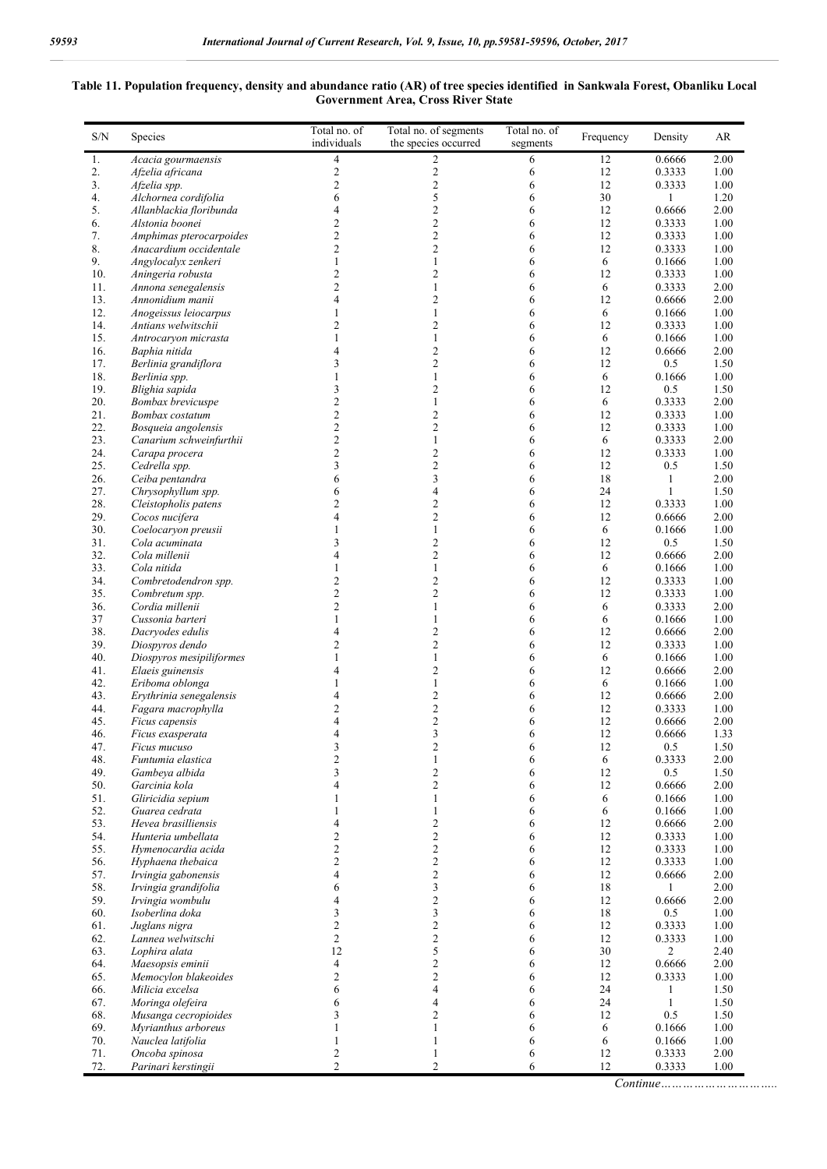## **Table 11. Population frequency, density and abundance ratio (AR) of tree species identified in Sankwala Forest, Obanliku Local Government Area, Cross River State**

| $\overline{4}$<br>2<br>6<br>12<br>Acacia gourmaensis<br>1.<br>$\overline{c}$<br>$\overline{2}$<br>12<br>2.<br>Afzelia africana<br>6<br>$\overline{c}$<br>$\mathbf{2}$<br>3.<br>6<br>12<br>Afzelia spp.<br>5<br>30<br>Alchornea cordifolia<br>6<br>4.<br>6<br>$\overline{2}$<br>5.<br>Allanblackia floribunda<br>4<br>12<br>6<br>$\overline{c}$<br>$\overline{2}$<br>12<br>6.<br>6<br>Alstonia boonei | 0.6666<br>2.00<br>0.3333<br>1.00<br>0.3333<br>1.00<br>1<br>1.20<br>0.6666<br>2.00<br>0.3333<br>1.00<br>0.3333<br>1.00<br>0.3333<br>1.00<br>0.1666<br>1.00<br>0.3333<br>1.00 |
|------------------------------------------------------------------------------------------------------------------------------------------------------------------------------------------------------------------------------------------------------------------------------------------------------------------------------------------------------------------------------------------------------|-----------------------------------------------------------------------------------------------------------------------------------------------------------------------------|
|                                                                                                                                                                                                                                                                                                                                                                                                      |                                                                                                                                                                             |
|                                                                                                                                                                                                                                                                                                                                                                                                      |                                                                                                                                                                             |
|                                                                                                                                                                                                                                                                                                                                                                                                      |                                                                                                                                                                             |
|                                                                                                                                                                                                                                                                                                                                                                                                      |                                                                                                                                                                             |
|                                                                                                                                                                                                                                                                                                                                                                                                      |                                                                                                                                                                             |
| $\overline{c}$<br>$\mathbf{2}$<br>12<br>7.<br>Amphimas pterocarpoides<br>6                                                                                                                                                                                                                                                                                                                           |                                                                                                                                                                             |
| $\overline{c}$<br>$\overline{2}$<br>12<br>8.<br>6<br>Anacardium occidentale                                                                                                                                                                                                                                                                                                                          |                                                                                                                                                                             |
| 9.<br>6<br>1<br>$\mathbf{1}$<br>6<br>Angylocalyx zenkeri                                                                                                                                                                                                                                                                                                                                             |                                                                                                                                                                             |
| $\overline{2}$<br>$\overline{2}$<br>12<br>10.<br>Aningeria robusta<br>6                                                                                                                                                                                                                                                                                                                              |                                                                                                                                                                             |
| $\overline{c}$<br>$\mathbf{1}$<br>6<br>11.<br>Annona senegalensis<br>6                                                                                                                                                                                                                                                                                                                               | 0.3333<br>2.00                                                                                                                                                              |
| $\overline{c}$<br>13.<br>4<br>12<br>Annonidium manii<br>6                                                                                                                                                                                                                                                                                                                                            | 0.6666<br>2.00                                                                                                                                                              |
| 12.<br>1<br>1<br>6<br>Anogeissus leiocarpus<br>6                                                                                                                                                                                                                                                                                                                                                     | 0.1666<br>1.00                                                                                                                                                              |
| $\overline{c}$<br>$\mathbf{2}$<br>12<br>14.<br>Antians welwitschii<br>6<br>$\mathbf{1}$<br>15.<br>6<br>6<br>Antrocaryon micrasta<br>1                                                                                                                                                                                                                                                                | 0.3333<br>1.00<br>0.1666<br>1.00                                                                                                                                            |
| $\overline{2}$<br>12<br>16.<br>Baphia nitida<br>4<br>6                                                                                                                                                                                                                                                                                                                                               | 0.6666<br>2.00                                                                                                                                                              |
| $\overline{c}$<br>12<br>3<br>6<br>17.<br>Berlinia grandiflora                                                                                                                                                                                                                                                                                                                                        | 0.5<br>1.50                                                                                                                                                                 |
| 18.<br>6<br>Berlinia spp.<br>1<br>1<br>6                                                                                                                                                                                                                                                                                                                                                             | 0.1666<br>1.00                                                                                                                                                              |
| $\overline{c}$<br>12<br>19.<br>3<br>Blighia sapida<br>6                                                                                                                                                                                                                                                                                                                                              | 0.5<br>1.50                                                                                                                                                                 |
| $\overline{c}$<br>20.<br>$\mathbf{1}$<br>6<br>6<br>Bombax brevicuspe                                                                                                                                                                                                                                                                                                                                 | 0.3333<br>2.00                                                                                                                                                              |
| $\overline{c}$<br>$\overline{c}$<br>12<br>21.<br>6<br>Bombax costatum                                                                                                                                                                                                                                                                                                                                | 0.3333<br>1.00                                                                                                                                                              |
| $\overline{c}$<br>$\mathbf{2}$<br>12<br>22.<br>6<br>Bosqueia angolensis                                                                                                                                                                                                                                                                                                                              | 0.3333<br>1.00                                                                                                                                                              |
| $\overline{c}$<br>$\mathbf{1}$<br>23.<br>6<br>6<br>Canarium schweinfurthii<br>$\overline{c}$<br>$\mathfrak{2}$<br>24.<br>12                                                                                                                                                                                                                                                                          | 0.3333<br>2.00<br>0.3333                                                                                                                                                    |
| Carapa procera<br>6<br>$\overline{c}$<br>3<br>25.<br>12<br>Cedrella spp.<br>6                                                                                                                                                                                                                                                                                                                        | 1.00<br>0.5<br>1.50                                                                                                                                                         |
| 3<br>26.<br>6<br>18<br>Ceiba pentandra<br>6                                                                                                                                                                                                                                                                                                                                                          | 2.00<br>1                                                                                                                                                                   |
| 27.<br>6<br>4<br>24<br>Chrysophyllum spp.<br>6                                                                                                                                                                                                                                                                                                                                                       | 1.50<br>1                                                                                                                                                                   |
| $\overline{c}$<br>$\mathbf{2}$<br>28.<br>Cleistopholis patens<br>12<br>6                                                                                                                                                                                                                                                                                                                             | 0.3333<br>1.00                                                                                                                                                              |
| $\mathbf{2}$<br>12<br>29.<br>Cocos nucifera<br>4<br>6                                                                                                                                                                                                                                                                                                                                                | 0.6666<br>2.00                                                                                                                                                              |
| $\mathbf{1}$<br>30.<br>6<br>6<br>Coelocaryon preusii<br>1                                                                                                                                                                                                                                                                                                                                            | 1.00<br>0.1666                                                                                                                                                              |
| $\mathbf{2}$<br>31.<br>Cola acuminata<br>3<br>12<br>6                                                                                                                                                                                                                                                                                                                                                | 0.5<br>1.50                                                                                                                                                                 |
| $\overline{2}$<br>12<br>32.<br>Cola millenii<br>4<br>6                                                                                                                                                                                                                                                                                                                                               | 0.6666<br>2.00                                                                                                                                                              |
| 33.<br>6<br>Cola nitida<br>1<br>1<br>6<br>$\overline{c}$<br>$\overline{c}$<br>34.<br>12<br>Combretodendron spp.<br>6                                                                                                                                                                                                                                                                                 | 0.1666<br>1.00<br>0.3333<br>1.00                                                                                                                                            |
| $\overline{c}$<br>$\overline{2}$<br>12<br>35.<br>Combretum spp.<br>6                                                                                                                                                                                                                                                                                                                                 | 0.3333<br>1.00                                                                                                                                                              |
| $\overline{c}$<br>6<br>36.<br>1<br>6<br>Cordia millenii                                                                                                                                                                                                                                                                                                                                              | 0.3333<br>2.00                                                                                                                                                              |
| 37<br>1<br>$\mathbf{1}$<br>6<br>6<br>Cussonia barteri                                                                                                                                                                                                                                                                                                                                                | 0.1666<br>1.00                                                                                                                                                              |
| 38.<br>$\overline{2}$<br>4<br>6<br>12<br>Dacryodes edulis                                                                                                                                                                                                                                                                                                                                            | 0.6666<br>2.00                                                                                                                                                              |
| $\overline{c}$<br>$\overline{2}$<br>39.<br>12<br>Diospyros dendo<br>6                                                                                                                                                                                                                                                                                                                                | 0.3333<br>1.00                                                                                                                                                              |
| 40.<br>$\mathbf{1}$<br>6<br>Diospyros mesipiliformes<br>1<br>6                                                                                                                                                                                                                                                                                                                                       | 0.1666<br>1.00                                                                                                                                                              |
| 12<br>41.<br>2<br>Elaeis guinensis<br>4<br>6                                                                                                                                                                                                                                                                                                                                                         | 2.00<br>0.6666                                                                                                                                                              |
| $\mathbf{1}$<br>42.<br>6<br>Eriboma oblonga<br>1<br>6<br>$\mathbf{2}$<br>12<br>43.<br>Erythrinia senegalensis<br>4<br>6                                                                                                                                                                                                                                                                              | 0.1666<br>1.00<br>0.6666<br>2.00                                                                                                                                            |
| $\overline{\mathbf{c}}$<br>$\overline{c}$<br>12<br>44.<br>Fagara macrophylla<br>6                                                                                                                                                                                                                                                                                                                    | 0.3333<br>1.00                                                                                                                                                              |
| $\overline{c}$<br>12<br>4<br>45.<br>Ficus capensis<br>6                                                                                                                                                                                                                                                                                                                                              | 0.6666<br>2.00                                                                                                                                                              |
| 3<br>4<br>12<br>46.<br>6<br>Ficus exasperata                                                                                                                                                                                                                                                                                                                                                         | 0.6666<br>1.33                                                                                                                                                              |
| 12<br>3<br>2<br>6<br>47.<br>Ficus mucuso                                                                                                                                                                                                                                                                                                                                                             | 1.50<br>0.5                                                                                                                                                                 |
| $\overline{\mathbf{c}}$<br>48.<br>$\mathbf{1}$<br>6<br>Funtumia elastica<br>6                                                                                                                                                                                                                                                                                                                        | 0.3333<br>2.00                                                                                                                                                              |
| 3<br>$\overline{c}$<br>12<br>49.<br>Gambeya albida<br>6                                                                                                                                                                                                                                                                                                                                              | 0.5<br>1.50                                                                                                                                                                 |
| 4<br>$\overline{2}$<br>12<br>50.<br>6<br>Garcinia kola                                                                                                                                                                                                                                                                                                                                               | 0.6666<br>2.00                                                                                                                                                              |
| $\mathbf{1}$<br>6<br>51.<br>Gliricidia sepium<br>1<br>6<br>52.<br>Guarea cedrata<br>1<br>$\mathbf{1}$<br>6<br>6                                                                                                                                                                                                                                                                                      | 0.1666<br>1.00<br>0.1666<br>1.00                                                                                                                                            |
| $\overline{c}$<br>53.<br>$\overline{4}$<br>Hevea brasilliensis<br>6<br>12                                                                                                                                                                                                                                                                                                                            | 0.6666<br>2.00                                                                                                                                                              |
| $\overline{2}$<br>$\overline{c}$<br>54.<br>6<br>12<br>Hunteria umbellata                                                                                                                                                                                                                                                                                                                             | 0.3333<br>1.00                                                                                                                                                              |
| $\overline{c}$<br>$\overline{c}$<br>55.<br>Hymenocardia acida<br>6<br>12                                                                                                                                                                                                                                                                                                                             | 0.3333<br>1.00                                                                                                                                                              |
| $\overline{c}$<br>$\overline{2}$<br>56.<br>12<br>Hyphaena thebaica<br>6                                                                                                                                                                                                                                                                                                                              | 0.3333<br>1.00                                                                                                                                                              |
| $\overline{4}$<br>$\overline{2}$<br>12<br>57.<br>Irvingia gabonensis<br>6                                                                                                                                                                                                                                                                                                                            | 0.6666<br>2.00                                                                                                                                                              |
| 3<br>6<br>18<br>58.<br>Irvingia grandifolia<br>6                                                                                                                                                                                                                                                                                                                                                     | $\mathbf{1}$<br>2.00                                                                                                                                                        |
| $\sqrt{2}$<br>59.<br>$\overline{4}$<br>Irvingia wombulu<br>6<br>12                                                                                                                                                                                                                                                                                                                                   | 0.6666<br>2.00                                                                                                                                                              |
| 3<br>3<br>18<br>Isoberlina doka<br>6<br>60.<br>$\overline{c}$                                                                                                                                                                                                                                                                                                                                        | 0.5<br>1.00                                                                                                                                                                 |
| $\overline{c}$<br>61.<br>Juglans nigra<br>6<br>12<br>$\overline{c}$<br>$\overline{c}$<br>12<br>62.<br>Lannea welwitschi<br>6                                                                                                                                                                                                                                                                         | 0.3333<br>1.00<br>0.3333<br>1.00                                                                                                                                            |
| 5<br>12<br>30<br>63.<br>Lophira alata<br>6                                                                                                                                                                                                                                                                                                                                                           | 2<br>2.40                                                                                                                                                                   |
| $\overline{c}$<br>$\overline{4}$<br>12<br>64.<br>Maesopsis eminii<br>6                                                                                                                                                                                                                                                                                                                               | 0.6666<br>2.00                                                                                                                                                              |
| $\overline{2}$<br>$\overline{c}$<br>65.<br>Memocylon blakeoides<br>6<br>12                                                                                                                                                                                                                                                                                                                           | 0.3333<br>1.00                                                                                                                                                              |
| 6<br>$\overline{4}$<br>24<br>66.<br>Milicia excelsa<br>6                                                                                                                                                                                                                                                                                                                                             | 1.50<br>1                                                                                                                                                                   |
| 67.<br>6<br>4<br>6<br>24<br>Moringa olefeira                                                                                                                                                                                                                                                                                                                                                         | $\mathbf{1}$<br>1.50                                                                                                                                                        |
| 3<br>$\overline{c}$<br>68.<br>Musanga cecropioides<br>6<br>12                                                                                                                                                                                                                                                                                                                                        | 0.5<br>1.50                                                                                                                                                                 |
| 69.<br>1<br>$\mathbf{1}$<br>6<br>6<br>Myrianthus arboreus<br>70.<br>1<br>$\mathbf{1}$<br>6<br>6                                                                                                                                                                                                                                                                                                      | 1.00<br>0.1666<br>1.00<br>0.1666                                                                                                                                            |
| Nauclea latifolia<br>71.<br>$\overline{\mathbf{c}}$<br>Oncoba spinosa<br>$\mathbf{1}$<br>6<br>12                                                                                                                                                                                                                                                                                                     | 0.3333<br>2.00                                                                                                                                                              |
| $\overline{2}$<br>$\overline{2}$<br>72.<br>Parinari kerstingii<br>6<br>12                                                                                                                                                                                                                                                                                                                            | 0.3333<br>1.00                                                                                                                                                              |

*Continue…………………………..*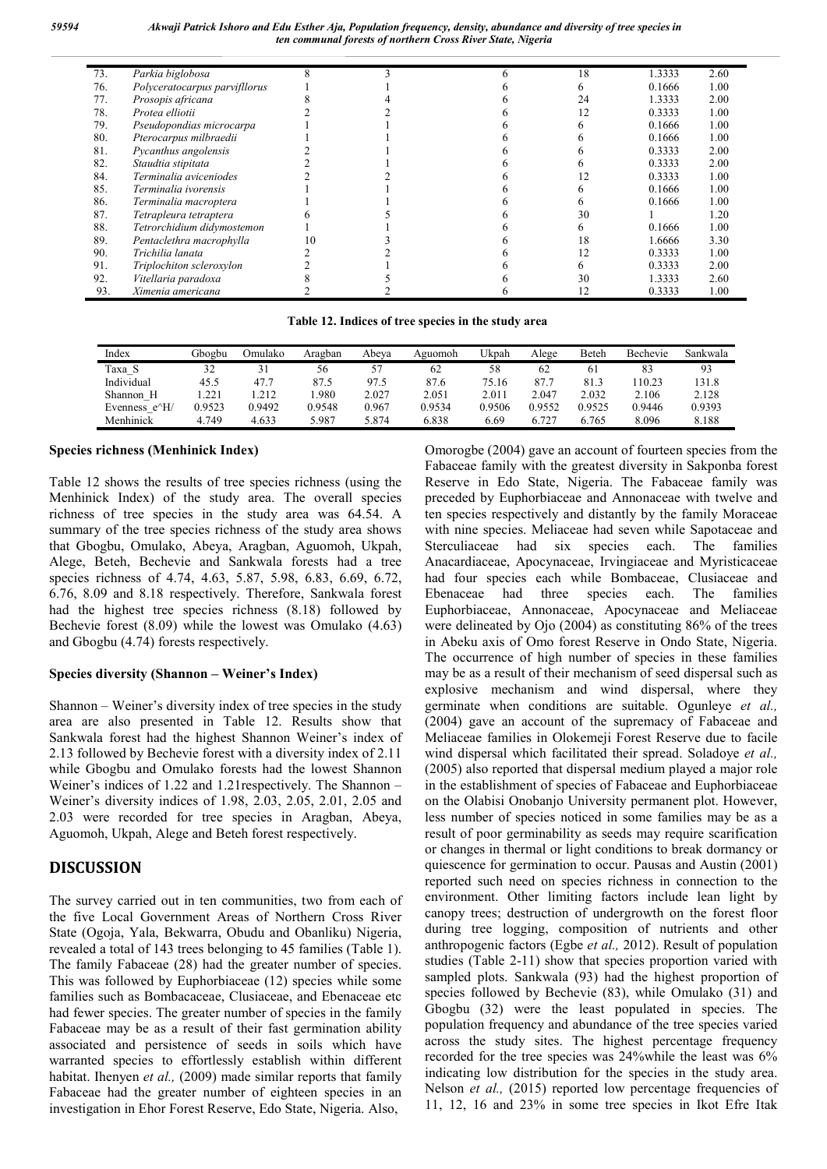| 73. | Parkia biglobosa              |    |  | 18 | 1.3333 | 2.60 |
|-----|-------------------------------|----|--|----|--------|------|
| 76. | Polyceratocarpus parvifllorus |    |  |    | 0.1666 | 1.00 |
| 77. | Prosopis africana             |    |  | 24 | 1.3333 | 2.00 |
| 78. | Protea elliotii               |    |  | 12 | 0.3333 | 1.00 |
| 79. | Pseudopondias microcarpa      |    |  |    | 0.1666 | 1.00 |
| 80. | Pterocarpus milbraedii        |    |  |    | 0.1666 | 1.00 |
| 81. | Pycanthus angolensis          |    |  |    | 0.3333 | 2.00 |
| 82. | Staudtia stipitata            |    |  |    | 0.3333 | 2.00 |
| 84. | Terminalia aviceniodes        |    |  |    | 0.3333 | 1.00 |
| 85. | Terminalia ivorensis          |    |  |    | 0.1666 | 1.00 |
| 86. | Terminalia macroptera         |    |  |    | 0.1666 | 1.00 |
| 87. | Tetrapleura tetraptera        |    |  | 30 |        | 1.20 |
| 88. | Tetrorchidium didymostemon    |    |  | n  | 0.1666 | 1.00 |
| 89. | Pentaclethra macrophylla      | 10 |  | 18 | 1.6666 | 3.30 |
| 90. | Trichilia lanata              |    |  | 12 | 0.3333 | 1.00 |
| 91. | Triplochiton scleroxylon      |    |  |    | 0.3333 | 2.00 |
| 92. | Vitellaria paradoxa           |    |  | 30 | 1.3333 | 2.60 |
| 93. | Ximenia americana             |    |  |    | 0.3333 | 1.00 |

**Table 12. Indices of tree species in the study area**

| Index          | Gbogbu | Omulako | Aragban | Abeva | Aguomoh | Ukpah  | Alege  | Beteh  | Bechevie | Sankwala |
|----------------|--------|---------|---------|-------|---------|--------|--------|--------|----------|----------|
| Taxa S         | 32     |         | 56      |       | 62      | 58     | 62     | 61     | 83       | 93       |
| Individual     | 45.5   | 47.7    | 87.5    | 97.5  | 87.6    | 75.16  | 87.7   | 81.3   | 110.23   | 131.8    |
| Shannon H      | .221   | .212    | .980    | 2.027 | 2.051   | 2.011  | 2.047  | 2.032  | 2.106    | 2.128    |
| Evenness $e^H$ | 0.9523 | 0.9492  | 0.9548  | 0.967 | 0.9534  | 0.9506 | 0.9552 | 0.9525 | 0.9446   | 0.9393   |
| Menhinick      | 4.749  | 4.633   | 5.987   | 5.874 | 6.838   | 6.69   | 6.727  | 6.765  | 8.096    | 8.188    |

## **Species richness (Menhinick Index)**

Table 12 shows the results of tree species richness (using the Menhinick Index) of the study area. The overall species richness of tree species in the study area was 64.54. A summary of the tree species richness of the study area shows that Gbogbu, Omulako, Abeya, Aragban, Aguomoh, Ukpah, Alege, Beteh, Bechevie and Sankwala forests had a tree species richness of 4.74, 4.63, 5.87, 5.98, 6.83, 6.69, 6.72, 6.76, 8.09 and 8.18 respectively. Therefore, Sankwala forest had the highest tree species richness (8.18) followed by Bechevie forest (8.09) while the lowest was Omulako (4.63) and Gbogbu (4.74) forests respectively.

### **Species diversity (Shannon – Weiner's Index)**

Shannon – Weiner's diversity index of tree species in the study area are also presented in Table 12. Results show that Sankwala forest had the highest Shannon Weiner's index of 2.13 followed by Bechevie forest with a diversity index of 2.11 while Gbogbu and Omulako forests had the lowest Shannon Weiner's indices of 1.22 and 1.21respectively. The Shannon – Weiner's diversity indices of 1.98, 2.03, 2.05, 2.01, 2.05 and 2.03 were recorded for tree species in Aragban, Abeya, Aguomoh, Ukpah, Alege and Beteh forest respectively.

# **DISCUSSION**

The survey carried out in ten communities, two from each of the five Local Government Areas of Northern Cross River State (Ogoja, Yala, Bekwarra, Obudu and Obanliku) Nigeria, revealed a total of 143 trees belonging to 45 families (Table 1). The family Fabaceae (28) had the greater number of species. This was followed by Euphorbiaceae (12) species while some families such as Bombacaceae, Clusiaceae, and Ebenaceae etc had fewer species. The greater number of species in the family Fabaceae may be as a result of their fast germination ability associated and persistence of seeds in soils which have warranted species to effortlessly establish within different habitat. Ihenyen *et al.,* (2009) made similar reports that family Fabaceae had the greater number of eighteen species in an investigation in Ehor Forest Reserve, Edo State, Nigeria. Also,

Omorogbe (2004) gave an account of fourteen species from the Fabaceae family with the greatest diversity in Sakponba forest Reserve in Edo State, Nigeria. The Fabaceae family was preceded by Euphorbiaceae and Annonaceae with twelve and ten species respectively and distantly by the family Moraceae with nine species. Meliaceae had seven while Sapotaceae and Sterculiaceae had six species each. The families Anacardiaceae, Apocynaceae, Irvingiaceae and Myristicaceae had four species each while Bombaceae, Clusiaceae and Ebenaceae had three species each. The families Euphorbiaceae, Annonaceae, Apocynaceae and Meliaceae were delineated by Ojo (2004) as constituting 86% of the trees in Abeku axis of Omo forest Reserve in Ondo State, Nigeria. The occurrence of high number of species in these families may be as a result of their mechanism of seed dispersal such as explosive mechanism and wind dispersal, where they germinate when conditions are suitable. Ogunleye *et al.,* (2004) gave an account of the supremacy of Fabaceae and Meliaceae families in Olokemeji Forest Reserve due to facile wind dispersal which facilitated their spread. Soladoye *et al.,* (2005) also reported that dispersal medium played a major role in the establishment of species of Fabaceae and Euphorbiaceae on the Olabisi Onobanjo University permanent plot. However, less number of species noticed in some families may be as a result of poor germinability as seeds may require scarification or changes in thermal or light conditions to break dormancy or quiescence for germination to occur. Pausas and Austin (2001) reported such need on species richness in connection to the environment. Other limiting factors include lean light by canopy trees; destruction of undergrowth on the forest floor during tree logging, composition of nutrients and other anthropogenic factors (Egbe *et al.,* 2012). Result of population studies (Table 2-11) show that species proportion varied with sampled plots. Sankwala (93) had the highest proportion of species followed by Bechevie (83), while Omulako (31) and Gbogbu (32) were the least populated in species. The population frequency and abundance of the tree species varied across the study sites. The highest percentage frequency recorded for the tree species was 24%while the least was 6% indicating low distribution for the species in the study area. Nelson *et al.*, (2015) reported low percentage frequencies of 11, 12, 16 and 23% in some tree species in Ikot Efre Itak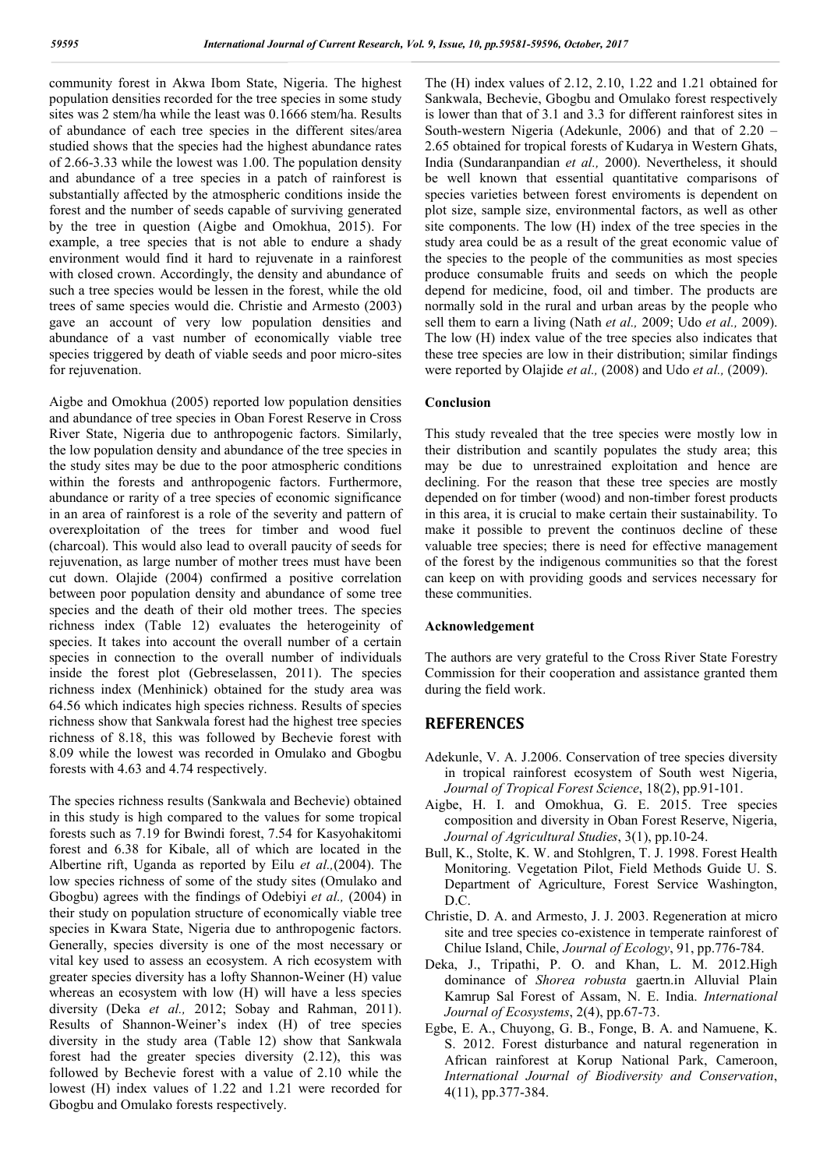community forest in Akwa Ibom State, Nigeria. The highest population densities recorded for the tree species in some study sites was 2 stem/ha while the least was 0.1666 stem/ha. Results of abundance of each tree species in the different sites/area studied shows that the species had the highest abundance rates of 2.66-3.33 while the lowest was 1.00. The population density and abundance of a tree species in a patch of rainforest is substantially affected by the atmospheric conditions inside the forest and the number of seeds capable of surviving generated by the tree in question (Aigbe and Omokhua, 2015). For example, a tree species that is not able to endure a shady environment would find it hard to rejuvenate in a rainforest with closed crown. Accordingly, the density and abundance of such a tree species would be lessen in the forest, while the old trees of same species would die. Christie and Armesto (2003) gave an account of very low population densities and abundance of a vast number of economically viable tree species triggered by death of viable seeds and poor micro-sites for rejuvenation.

Aigbe and Omokhua (2005) reported low population densities and abundance of tree species in Oban Forest Reserve in Cross River State, Nigeria due to anthropogenic factors. Similarly, the low population density and abundance of the tree species in the study sites may be due to the poor atmospheric conditions within the forests and anthropogenic factors. Furthermore, abundance or rarity of a tree species of economic significance in an area of rainforest is a role of the severity and pattern of overexploitation of the trees for timber and wood fuel (charcoal). This would also lead to overall paucity of seeds for rejuvenation, as large number of mother trees must have been cut down. Olajide (2004) confirmed a positive correlation between poor population density and abundance of some tree species and the death of their old mother trees. The species richness index (Table 12) evaluates the heterogeinity of species. It takes into account the overall number of a certain species in connection to the overall number of individuals inside the forest plot (Gebreselassen, 2011). The species richness index (Menhinick) obtained for the study area was 64.56 which indicates high species richness. Results of species richness show that Sankwala forest had the highest tree species richness of 8.18, this was followed by Bechevie forest with 8.09 while the lowest was recorded in Omulako and Gbogbu forests with 4.63 and 4.74 respectively.

The species richness results (Sankwala and Bechevie) obtained in this study is high compared to the values for some tropical forests such as 7.19 for Bwindi forest, 7.54 for Kasyohakitomi forest and 6.38 for Kibale, all of which are located in the Albertine rift, Uganda as reported by Eilu *et al.,*(2004). The low species richness of some of the study sites (Omulako and Gbogbu) agrees with the findings of Odebiyi *et al.,* (2004) in their study on population structure of economically viable tree species in Kwara State, Nigeria due to anthropogenic factors. Generally, species diversity is one of the most necessary or vital key used to assess an ecosystem. A rich ecosystem with greater species diversity has a lofty Shannon-Weiner (H) value whereas an ecosystem with low (H) will have a less species diversity (Deka *et al.,* 2012; Sobay and Rahman, 2011). Results of Shannon-Weiner's index (H) of tree species diversity in the study area (Table 12) show that Sankwala forest had the greater species diversity (2.12), this was followed by Bechevie forest with a value of 2.10 while the lowest (H) index values of 1.22 and 1.21 were recorded for Gbogbu and Omulako forests respectively.

The (H) index values of 2.12, 2.10, 1.22 and 1.21 obtained for Sankwala, Bechevie, Gbogbu and Omulako forest respectively is lower than that of 3.1 and 3.3 for different rainforest sites in South-western Nigeria (Adekunle, 2006) and that of 2.20 – 2.65 obtained for tropical forests of Kudarya in Western Ghats, India (Sundaranpandian *et al.,* 2000). Nevertheless, it should be well known that essential quantitative comparisons of species varieties between forest enviroments is dependent on plot size, sample size, environmental factors, as well as other site components. The low (H) index of the tree species in the study area could be as a result of the great economic value of the species to the people of the communities as most species produce consumable fruits and seeds on which the people depend for medicine, food, oil and timber. The products are normally sold in the rural and urban areas by the people who sell them to earn a living (Nath *et al.,* 2009; Udo *et al.,* 2009). The low (H) index value of the tree species also indicates that these tree species are low in their distribution; similar findings were reported by Olajide *et al.,* (2008) and Udo *et al.,* (2009).

## **Conclusion**

This study revealed that the tree species were mostly low in their distribution and scantily populates the study area; this may be due to unrestrained exploitation and hence are declining. For the reason that these tree species are mostly depended on for timber (wood) and non-timber forest products in this area, it is crucial to make certain their sustainability. To make it possible to prevent the continuos decline of these valuable tree species; there is need for effective management of the forest by the indigenous communities so that the forest can keep on with providing goods and services necessary for these communities.

#### **Acknowledgement**

The authors are very grateful to the Cross River State Forestry Commission for their cooperation and assistance granted them during the field work.

## **REFERENCES**

- Adekunle, V. A. J.2006. Conservation of tree species diversity in tropical rainforest ecosystem of South west Nigeria, *Journal of Tropical Forest Science*, 18(2), pp.91-101.
- Aigbe, H. I. and Omokhua, G. E. 2015. Tree species composition and diversity in Oban Forest Reserve, Nigeria, *Journal of Agricultural Studies*, 3(1), pp.10-24.
- Bull, K., Stolte, K. W. and Stohlgren, T. J. 1998. Forest Health Monitoring. Vegetation Pilot, Field Methods Guide U. S. Department of Agriculture, Forest Service Washington, D.C.
- Christie, D. A. and Armesto, J. J. 2003. Regeneration at micro site and tree species co-existence in temperate rainforest of Chilue Island, Chile, *Journal of Ecology*, 91, pp.776-784.
- Deka, J., Tripathi, P. O. and Khan, L. M. 2012.High dominance of *Shorea robusta* gaertn.in Alluvial Plain Kamrup Sal Forest of Assam, N. E. India. *International Journal of Ecosystems*, 2(4), pp.67-73.
- Egbe, E. A., Chuyong, G. B., Fonge, B. A. and Namuene, K. S. 2012. Forest disturbance and natural regeneration in African rainforest at Korup National Park, Cameroon, *International Journal of Biodiversity and Conservation*, 4(11), pp.377-384.